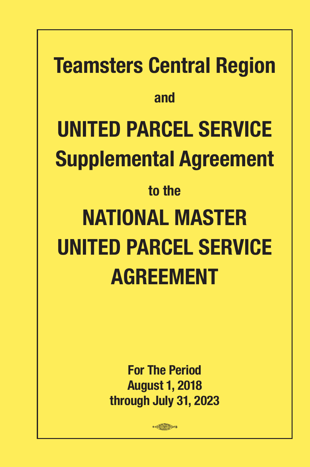# **Teamsters Central Region and UNITED PARCEL SERVICE Supplemental Agreement to the NATIONAL MASTER UNITED PARCEL SERVICE AGREEMENT**

**For The Period August 1, 2018 through July 31, 2023**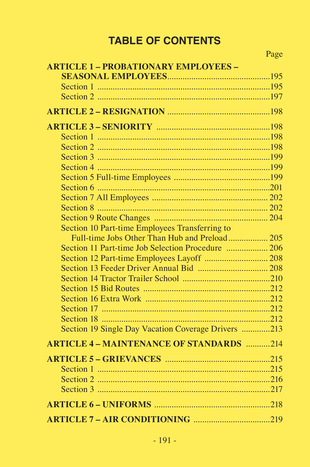# **TABLE OF CONTENTS**

| <b>ARTICLE 1 - PROBATIONARY EMPLOYEES -</b>         |  |
|-----------------------------------------------------|--|
|                                                     |  |
|                                                     |  |
|                                                     |  |
|                                                     |  |
|                                                     |  |
|                                                     |  |
|                                                     |  |
|                                                     |  |
|                                                     |  |
|                                                     |  |
|                                                     |  |
|                                                     |  |
|                                                     |  |
|                                                     |  |
| Section 10 Part-time Employees Transferring to      |  |
|                                                     |  |
| Section 11 Part-time Job Selection Procedure  206   |  |
|                                                     |  |
|                                                     |  |
|                                                     |  |
|                                                     |  |
|                                                     |  |
|                                                     |  |
|                                                     |  |
| Section 19 Single Day Vacation Coverage Drivers 213 |  |
| <b>ARTICLE 4 - MAINTENANCE OF STANDARDS</b> 214     |  |
|                                                     |  |
|                                                     |  |
|                                                     |  |
|                                                     |  |
|                                                     |  |
|                                                     |  |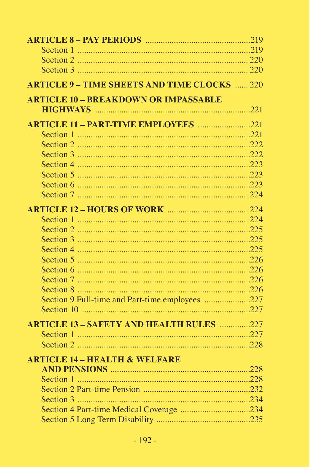| <b>ARTICLE 9 - TIME SHEETS AND TIME CLOCKS  220</b> |  |
|-----------------------------------------------------|--|
| <b>ARTICLE 10 - BREAKDOWN OR IMPASSABLE</b>         |  |
|                                                     |  |
| <b>ARTICLE 11 - PART-TIME EMPLOYEES</b> 221         |  |
|                                                     |  |
|                                                     |  |
|                                                     |  |
|                                                     |  |
|                                                     |  |
|                                                     |  |
|                                                     |  |
|                                                     |  |
|                                                     |  |
|                                                     |  |
|                                                     |  |
|                                                     |  |
|                                                     |  |
|                                                     |  |
|                                                     |  |
|                                                     |  |
| Section 9 Full-time and Part-time employees 227     |  |
|                                                     |  |
| <b>ARTICLE 13 - SAFETY AND HEALTH RULES</b> 227     |  |
|                                                     |  |
|                                                     |  |
|                                                     |  |
| <b>ARTICLE 14 - HEALTH &amp; WELFARE</b>            |  |
|                                                     |  |
|                                                     |  |
|                                                     |  |
|                                                     |  |
|                                                     |  |
|                                                     |  |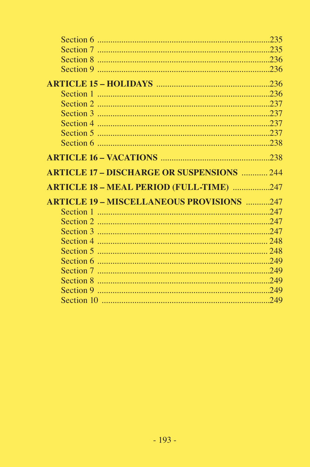| <b>ARTICLE 17 - DISCHARGE OR SUSPENSIONS  244</b> |  |
|---------------------------------------------------|--|
|                                                   |  |
| <b>ARTICLE 18 - MEAL PERIOD (FULL-TIME) 247</b>   |  |
| <b>ARTICLE 19 - MISCELLANEOUS PROVISIONS</b> 247  |  |
|                                                   |  |
|                                                   |  |
|                                                   |  |
|                                                   |  |
|                                                   |  |
|                                                   |  |
|                                                   |  |
|                                                   |  |
|                                                   |  |
|                                                   |  |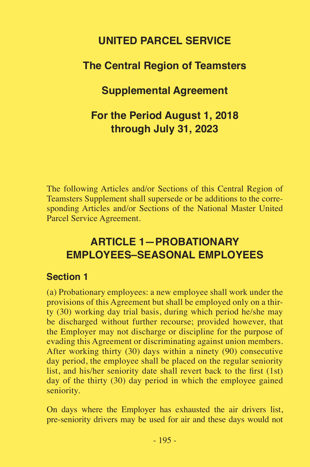# **UNITED PARCEL SERVICE**

# **The Central Region of Teamsters**

## **Supplemental Agreement**

# **For the Period August 1, 2018 through July 31, 2023**

The following Articles and/or Sections of this Central Region of Teamsters Supplement shall supersede or be additions to the corresponding Articles and/or Sections of the National Master United Parcel Service Agreement.

# **ARTICLE 1—PROBATIONARY EMPLOYEES–SEASONAL EMPLOYEES**

#### **Section 1**

(a) Probationary employees: a new employee shall work under the provisions of this Agreement but shall be employed only on a thirty (30) working day trial basis, during which period he/she may be discharged without further recourse; provided however, that the Employer may not discharge or discipline for the purpose of evading this Agreement or discriminating against union members. After working thirty (30) days within a ninety (90) consecutive day period, the employee shall be placed on the regular seniority list, and his/her seniority date shall revert back to the first (1st) day of the thirty (30) day period in which the employee gained seniority.

On days where the Employer has exhausted the air drivers list, pre-seniority drivers may be used for air and these days would not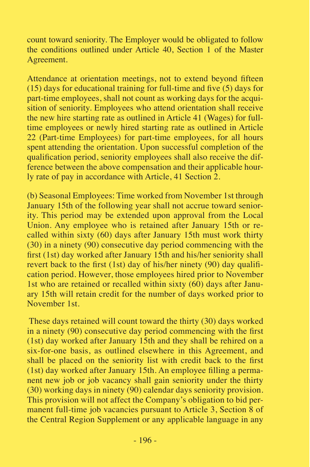count toward seniority. The Employer would be obligated to follow the conditions outlined under Article 40, Section 1 of the Master Agreement.

Attendance at orientation meetings, not to extend beyond fifteen (15) days for educational training for full-time and five (5) days for part-time employees, shall not count as working days for the acquisition of seniority. Employees who attend orientation shall receive the new hire starting rate as outlined in Article 41 (Wages) for fulltime employees or newly hired starting rate as outlined in Article 22 (Part-time Employees) for part-time employees, for all hours spent attending the orientation. Upon successful completion of the qualification period, seniority employees shall also receive the difference between the above compensation and their applicable hourly rate of pay in accordance with Article, 41 Section 2.

(b) Seasonal Employees: Time worked from November 1st through January 15th of the following year shall not accrue toward seniority. This period may be extended upon approval from the Local Union. Any employee who is retained after January 15th or recalled within sixty (60) days after January 15th must work thirty (30) in a ninety (90) consecutive day period commencing with the first (1st) day worked after January 15th and his/her seniority shall revert back to the first (1st) day of his/her ninety (90) day qualification period. However, those employees hired prior to November 1st who are retained or recalled within sixty (60) days after January 15th will retain credit for the number of days worked prior to November 1st.

 These days retained will count toward the thirty (30) days worked in a ninety (90) consecutive day period commencing with the first (1st) day worked after January 15th and they shall be rehired on a six-for-one basis, as outlined elsewhere in this Agreement, and shall be placed on the seniority list with credit back to the first (1st) day worked after January 15th. An employee filling a permanent new job or job vacancy shall gain seniority under the thirty (30) working days in ninety (90) calendar days seniority provision. This provision will not affect the Company's obligation to bid permanent full-time job vacancies pursuant to Article 3, Section 8 of the Central Region Supplement or any applicable language in any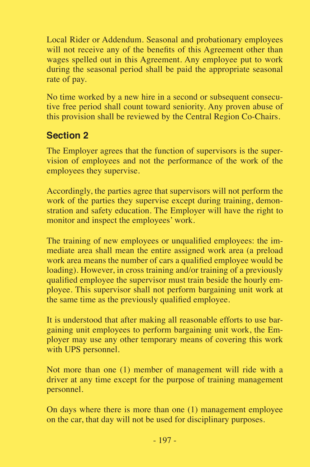Local Rider or Addendum. Seasonal and probationary employees will not receive any of the benefits of this Agreement other than wages spelled out in this Agreement. Any employee put to work during the seasonal period shall be paid the appropriate seasonal rate of pay.

No time worked by a new hire in a second or subsequent consecutive free period shall count toward seniority. Any proven abuse of this provision shall be reviewed by the Central Region Co-Chairs.

## **Section 2**

The Employer agrees that the function of supervisors is the supervision of employees and not the performance of the work of the employees they supervise.

Accordingly, the parties agree that supervisors will not perform the work of the parties they supervise except during training, demonstration and safety education. The Employer will have the right to monitor and inspect the employees' work.

The training of new employees or unqualified employees: the immediate area shall mean the entire assigned work area (a preload work area means the number of cars a qualified employee would be loading). However, in cross training and/or training of a previously qualified employee the supervisor must train beside the hourly employee. This supervisor shall not perform bargaining unit work at the same time as the previously qualified employee.

It is understood that after making all reasonable efforts to use bargaining unit employees to perform bargaining unit work, the Employer may use any other temporary means of covering this work with UPS personnel.

Not more than one (1) member of management will ride with a driver at any time except for the purpose of training management personnel.

On days where there is more than one (1) management employee on the car, that day will not be used for disciplinary purposes.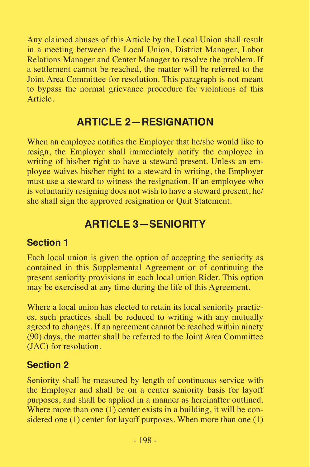Any claimed abuses of this Article by the Local Union shall result in a meeting between the Local Union, District Manager, Labor Relations Manager and Center Manager to resolve the problem. If a settlement cannot be reached, the matter will be referred to the Joint Area Committee for resolution. This paragraph is not meant to bypass the normal grievance procedure for violations of this Article.

# **ARTICLE 2—RESIGNATION**

When an employee notifies the Employer that he/she would like to resign, the Employer shall immediately notify the employee in writing of his/her right to have a steward present. Unless an employee waives his/her right to a steward in writing, the Employer must use a steward to witness the resignation. If an employee who is voluntarily resigning does not wish to have a steward present, he/ she shall sign the approved resignation or Quit Statement.

# **ARTICLE 3—SENIORITY**

#### **Section 1**

Each local union is given the option of accepting the seniority as contained in this Supplemental Agreement or of continuing the present seniority provisions in each local union Rider. This option may be exercised at any time during the life of this Agreement.

Where a local union has elected to retain its local seniority practices, such practices shall be reduced to writing with any mutually agreed to changes. If an agreement cannot be reached within ninety (90) days, the matter shall be referred to the Joint Area Committee (JAC) for resolution.

#### **Section 2**

Seniority shall be measured by length of continuous service with the Employer and shall be on a center seniority basis for layoff purposes, and shall be applied in a manner as hereinafter outlined. Where more than one  $(1)$  center exists in a building, it will be considered one (1) center for layoff purposes. When more than one (1)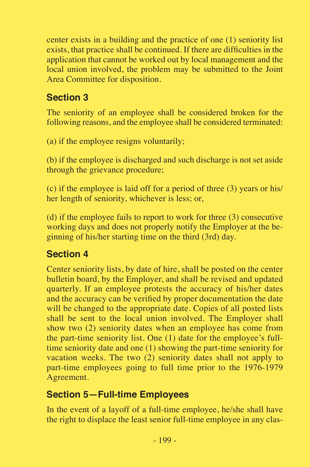center exists in a building and the practice of one (1) seniority list exists, that practice shall be continued. If there are difficulties in the application that cannot be worked out by local management and the local union involved, the problem may be submitted to the Joint Area Committee for disposition.

# **Section 3**

The seniority of an employee shall be considered broken for the following reasons, and the employee shall be considered terminated:

(a) if the employee resigns voluntarily;

(b) if the employee is discharged and such discharge is not set aside through the grievance procedure;

(c) if the employee is laid off for a period of three (3) years or his/ her length of seniority, whichever is less; or,

(d) if the employee fails to report to work for three (3) consecutive working days and does not properly notify the Employer at the beginning of his/her starting time on the third (3rd) day.

# **Section 4**

Center seniority lists, by date of hire, shall be posted on the center bulletin board, by the Employer, and shall be revised and updated quarterly. If an employee protests the accuracy of his/her dates and the accuracy can be verified by proper documentation the date will be changed to the appropriate date. Copies of all posted lists shall be sent to the local union involved. The Employer shall show two (2) seniority dates when an employee has come from the part-time seniority list. One (1) date for the employee's fulltime seniority date and one (1) showing the part-time seniority for vacation weeks. The two (2) seniority dates shall not apply to part-time employees going to full time prior to the 1976-1979 Agreement.

## **Section 5—Full-time Employees**

In the event of a layoff of a full-time employee, he/she shall have the right to displace the least senior full-time employee in any clas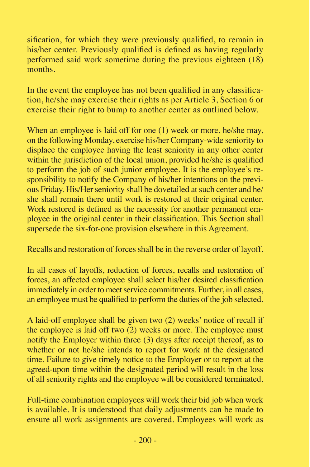sification, for which they were previously qualified, to remain in his/her center. Previously qualified is defined as having regularly performed said work sometime during the previous eighteen (18) months.

In the event the employee has not been qualified in any classification, he/she may exercise their rights as per Article 3, Section 6 or exercise their right to bump to another center as outlined below.

When an employee is laid off for one (1) week or more, he/she may, on the following Monday, exercise his/her Company-wide seniority to displace the employee having the least seniority in any other center within the jurisdiction of the local union, provided he/she is qualified to perform the job of such junior employee. It is the employee's responsibility to notify the Company of his/her intentions on the previous Friday. His/Her seniority shall be dovetailed at such center and he/ she shall remain there until work is restored at their original center. Work restored is defined as the necessity for another permanent employee in the original center in their classification. This Section shall supersede the six-for-one provision elsewhere in this Agreement.

Recalls and restoration of forces shall be in the reverse order of layoff.

In all cases of layoffs, reduction of forces, recalls and restoration of forces, an affected employee shall select his/her desired classification immediately in order to meet service commitments. Further, in all cases, an employee must be qualified to perform the duties of the job selected.

A laid-off employee shall be given two (2) weeks' notice of recall if the employee is laid off two (2) weeks or more. The employee must notify the Employer within three (3) days after receipt thereof, as to whether or not he/she intends to report for work at the designated time. Failure to give timely notice to the Employer or to report at the agreed-upon time within the designated period will result in the loss of all seniority rights and the employee will be considered terminated.

Full-time combination employees will work their bid job when work is available. It is understood that daily adjustments can be made to ensure all work assignments are covered. Employees will work as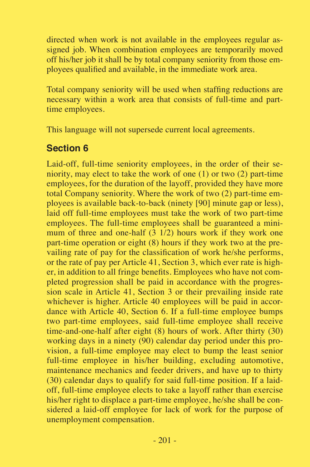directed when work is not available in the employees regular assigned job. When combination employees are temporarily moved off his/her job it shall be by total company seniority from those employees qualified and available, in the immediate work area.

Total company seniority will be used when staffing reductions are necessary within a work area that consists of full-time and parttime employees.

This language will not supersede current local agreements.

## **Section 6**

Laid-off, full-time seniority employees, in the order of their seniority, may elect to take the work of one (1) or two (2) part-time employees, for the duration of the layoff, provided they have more total Company seniority. Where the work of two (2) part-time employees is available back-to-back (ninety [90] minute gap or less), laid off full-time employees must take the work of two part-time employees. The full-time employees shall be guaranteed a minimum of three and one-half  $(3\ 1/2)$  hours work if they work one part-time operation or eight (8) hours if they work two at the prevailing rate of pay for the classification of work he/she performs, or the rate of pay per Article 41, Section 3, which ever rate is higher, in addition to all fringe benefits. Employees who have not completed progression shall be paid in accordance with the progression scale in Article 41, Section 3 or their prevailing inside rate whichever is higher. Article 40 employees will be paid in accordance with Article 40, Section 6. If a full-time employee bumps two part-time employees, said full-time employee shall receive time-and-one-half after eight (8) hours of work. After thirty (30) working days in a ninety (90) calendar day period under this provision, a full-time employee may elect to bump the least senior full-time employee in his/her building, excluding automotive, maintenance mechanics and feeder drivers, and have up to thirty (30) calendar days to qualify for said full-time position. If a laidoff, full-time employee elects to take a layoff rather than exercise his/her right to displace a part-time employee, he/she shall be considered a laid-off employee for lack of work for the purpose of unemployment compensation.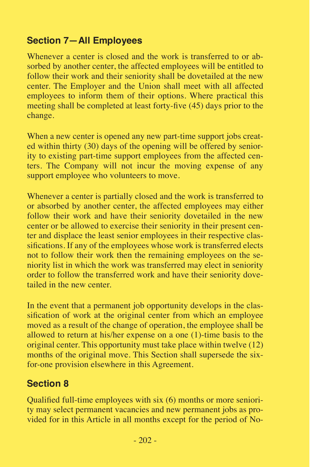## **Section 7—All Employees**

Whenever a center is closed and the work is transferred to or absorbed by another center, the affected employees will be entitled to follow their work and their seniority shall be dovetailed at the new center. The Employer and the Union shall meet with all affected employees to inform them of their options. Where practical this meeting shall be completed at least forty-five (45) days prior to the change.

When a new center is opened any new part-time support jobs created within thirty (30) days of the opening will be offered by seniority to existing part-time support employees from the affected centers. The Company will not incur the moving expense of any support employee who volunteers to move.

Whenever a center is partially closed and the work is transferred to or absorbed by another center, the affected employees may either follow their work and have their seniority dovetailed in the new center or be allowed to exercise their seniority in their present center and displace the least senior employees in their respective classifications. If any of the employees whose work is transferred elects not to follow their work then the remaining employees on the seniority list in which the work was transferred may elect in seniority order to follow the transferred work and have their seniority dovetailed in the new center.

In the event that a permanent job opportunity develops in the classification of work at the original center from which an employee moved as a result of the change of operation, the employee shall be allowed to return at his/her expense on a one (1)-time basis to the original center. This opportunity must take place within twelve (12) months of the original move. This Section shall supersede the sixfor-one provision elsewhere in this Agreement.

# **Section 8**

Qualified full-time employees with six (6) months or more seniority may select permanent vacancies and new permanent jobs as provided for in this Article in all months except for the period of No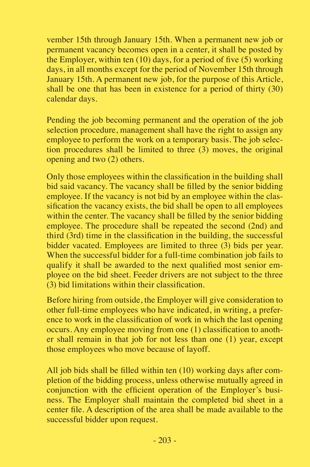vember 15th through January 15th. When a permanent new job or permanent vacancy becomes open in a center, it shall be posted by the Employer, within ten (10) days, for a period of five  $(5)$  working days, in all months except for the period of November 15th through January 15th. A permanent new job, for the purpose of this Article, shall be one that has been in existence for a period of thirty (30) calendar days.

Pending the job becoming permanent and the operation of the job selection procedure, management shall have the right to assign any employee to perform the work on a temporary basis. The job selection procedures shall be limited to three (3) moves, the original opening and two (2) others.

Only those employees within the classification in the building shall bid said vacancy. The vacancy shall be filled by the senior bidding employee. If the vacancy is not bid by an employee within the classification the vacancy exists, the bid shall be open to all employees within the center. The vacancy shall be filled by the senior bidding employee. The procedure shall be repeated the second (2nd) and third (3rd) time in the classification in the building, the successful bidder vacated. Employees are limited to three (3) bids per year. When the successful bidder for a full-time combination job fails to qualify it shall be awarded to the next qualified most senior employee on the bid sheet. Feeder drivers are not subject to the three (3) bid limitations within their classification.

Before hiring from outside, the Employer will give consideration to other full-time employees who have indicated, in writing, a preference to work in the classification of work in which the last opening occurs. Any employee moving from one (1) classification to another shall remain in that job for not less than one (1) year, except those employees who move because of layoff.

All job bids shall be filled within ten (10) working days after completion of the bidding process, unless otherwise mutually agreed in conjunction with the efficient operation of the Employer's business. The Employer shall maintain the completed bid sheet in a center file. A description of the area shall be made available to the successful bidder upon request.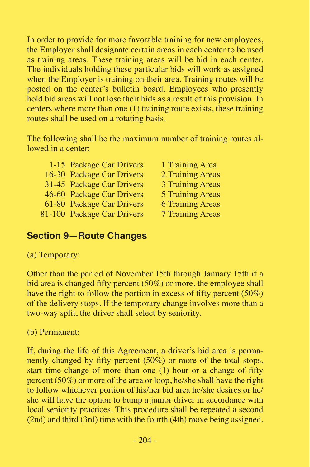In order to provide for more favorable training for new employees, the Employer shall designate certain areas in each center to be used as training areas. These training areas will be bid in each center. The individuals holding these particular bids will work as assigned when the Employer is training on their area. Training routes will be posted on the center's bulletin board. Employees who presently hold bid areas will not lose their bids as a result of this provision. In centers where more than one (1) training route exists, these training routes shall be used on a rotating basis.

The following shall be the maximum number of training routes allowed in a center:

| 1-15 Package Car Drivers   | L |
|----------------------------|---|
| 16-30 Package Car Drivers  | 2 |
| 31-45 Package Car Drivers  | 3 |
| 46-60 Package Car Drivers  | 5 |
| 61-80 Package Car Drivers  | 6 |
| 31-100 Package Car Drivers | 7 |

Training Area Training Areas Training Areas Training Areas Training Areas Training Areas

# **Section 9—Route Changes**

(a) Temporary:

Other than the period of November 15th through January 15th if a bid area is changed fifty percent (50%) or more, the employee shall have the right to follow the portion in excess of fifty percent (50%) of the delivery stops. If the temporary change involves more than a two-way split, the driver shall select by seniority.

(b) Permanent:

If, during the life of this Agreement, a driver's bid area is permanently changed by fifty percent (50%) or more of the total stops, start time change of more than one (1) hour or a change of fifty percent (50%) or more of the area or loop, he/she shall have the right to follow whichever portion of his/her bid area he/she desires or he/ she will have the option to bump a junior driver in accordance with local seniority practices. This procedure shall be repeated a second (2nd) and third (3rd) time with the fourth (4th) move being assigned.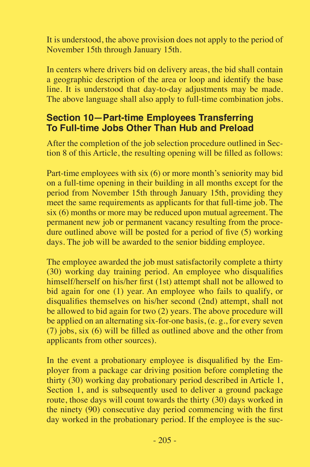It is understood, the above provision does not apply to the period of November 15th through January 15th.

In centers where drivers bid on delivery areas, the bid shall contain a geographic description of the area or loop and identify the base line. It is understood that day-to-day adjustments may be made. The above language shall also apply to full-time combination jobs.

#### **Section 10—Part-time Employees Transferring To Full-time Jobs Other Than Hub and Preload**

After the completion of the job selection procedure outlined in Section 8 of this Article, the resulting opening will be filled as follows:

Part-time employees with six (6) or more month's seniority may bid on a full-time opening in their building in all months except for the period from November 15th through January 15th, providing they meet the same requirements as applicants for that full-time job. The six (6) months or more may be reduced upon mutual agreement. The permanent new job or permanent vacancy resulting from the procedure outlined above will be posted for a period of five (5) working days. The job will be awarded to the senior bidding employee.

The employee awarded the job must satisfactorily complete a thirty (30) working day training period. An employee who disqualifies himself/herself on his/her first (1st) attempt shall not be allowed to bid again for one (1) year. An employee who fails to qualify, or disqualifies themselves on his/her second (2nd) attempt, shall not be allowed to bid again for two (2) years. The above procedure will be applied on an alternating six-for-one basis, (e. g., for every seven (7) jobs, six (6) will be filled as outlined above and the other from applicants from other sources).

In the event a probationary employee is disqualified by the Employer from a package car driving position before completing the thirty (30) working day probationary period described in Article 1, Section 1, and is subsequently used to deliver a ground package route, those days will count towards the thirty (30) days worked in the ninety (90) consecutive day period commencing with the first day worked in the probationary period. If the employee is the suc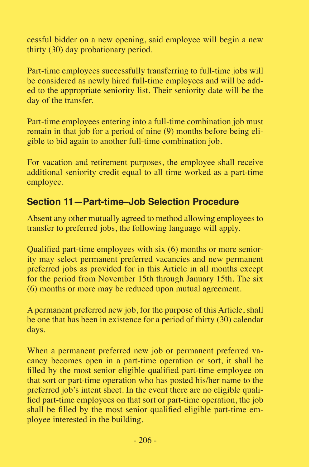cessful bidder on a new opening, said employee will begin a new thirty (30) day probationary period.

Part-time employees successfully transferring to full-time jobs will be considered as newly hired full-time employees and will be added to the appropriate seniority list. Their seniority date will be the day of the transfer.

Part-time employees entering into a full-time combination job must remain in that job for a period of nine (9) months before being eligible to bid again to another full-time combination job.

For vacation and retirement purposes, the employee shall receive additional seniority credit equal to all time worked as a part-time employee.

## **Section 11—Part-time–Job Selection Procedure**

Absent any other mutually agreed to method allowing employees to transfer to preferred jobs, the following language will apply.

Qualified part-time employees with six (6) months or more seniority may select permanent preferred vacancies and new permanent preferred jobs as provided for in this Article in all months except for the period from November 15th through January 15th. The six (6) months or more may be reduced upon mutual agreement.

A permanent preferred new job, for the purpose of this Article, shall be one that has been in existence for a period of thirty (30) calendar days.

When a permanent preferred new job or permanent preferred vacancy becomes open in a part-time operation or sort, it shall be filled by the most senior eligible qualified part-time employee on that sort or part-time operation who has posted his/her name to the preferred job's intent sheet. In the event there are no eligible qualified part-time employees on that sort or part-time operation, the job shall be filled by the most senior qualified eligible part-time employee interested in the building.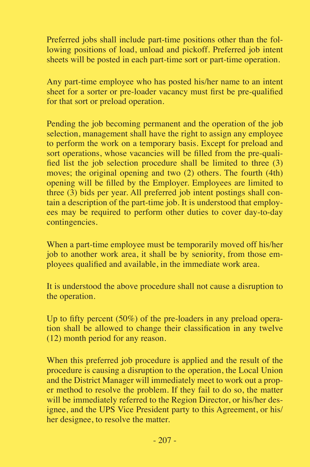Preferred jobs shall include part-time positions other than the following positions of load, unload and pickoff. Preferred job intent sheets will be posted in each part-time sort or part-time operation.

Any part-time employee who has posted his/her name to an intent sheet for a sorter or pre-loader vacancy must first be pre-qualified for that sort or preload operation.

Pending the job becoming permanent and the operation of the job selection, management shall have the right to assign any employee to perform the work on a temporary basis. Except for preload and sort operations, whose vacancies will be filled from the pre-qualified list the job selection procedure shall be limited to three (3) moves; the original opening and two (2) others. The fourth (4th) opening will be filled by the Employer. Employees are limited to three (3) bids per year. All preferred job intent postings shall contain a description of the part-time job. It is understood that employees may be required to perform other duties to cover day-to-day contingencies.

When a part-time employee must be temporarily moved off his/her job to another work area, it shall be by seniority, from those employees qualified and available, in the immediate work area.

It is understood the above procedure shall not cause a disruption to the operation.

Up to fifty percent (50%) of the pre-loaders in any preload operation shall be allowed to change their classification in any twelve (12) month period for any reason.

When this preferred job procedure is applied and the result of the procedure is causing a disruption to the operation, the Local Union and the District Manager will immediately meet to work out a proper method to resolve the problem. If they fail to do so, the matter will be immediately referred to the Region Director, or his/her designee, and the UPS Vice President party to this Agreement, or his/ her designee, to resolve the matter.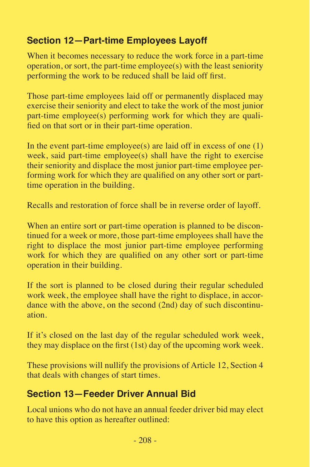# **Section 12—Part-time Employees Layoff**

When it becomes necessary to reduce the work force in a part-time operation, or sort, the part-time employee(s) with the least seniority performing the work to be reduced shall be laid off first.

Those part-time employees laid off or permanently displaced may exercise their seniority and elect to take the work of the most junior part-time employee(s) performing work for which they are qualified on that sort or in their part-time operation.

In the event part-time employee(s) are laid off in excess of one  $(1)$ week, said part-time employee(s) shall have the right to exercise their seniority and displace the most junior part-time employee performing work for which they are qualified on any other sort or parttime operation in the building.

Recalls and restoration of force shall be in reverse order of layoff.

When an entire sort or part-time operation is planned to be discontinued for a week or more, those part-time employees shall have the right to displace the most junior part-time employee performing work for which they are qualified on any other sort or part-time operation in their building.

If the sort is planned to be closed during their regular scheduled work week, the employee shall have the right to displace, in accordance with the above, on the second (2nd) day of such discontinuation.

If it's closed on the last day of the regular scheduled work week, they may displace on the first (1st) day of the upcoming work week.

These provisions will nullify the provisions of Article 12, Section 4 that deals with changes of start times.

#### **Section 13—Feeder Driver Annual Bid**

Local unions who do not have an annual feeder driver bid may elect to have this option as hereafter outlined: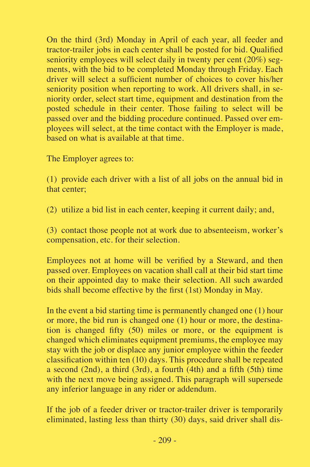On the third (3rd) Monday in April of each year, all feeder and tractor-trailer jobs in each center shall be posted for bid. Qualified seniority employees will select daily in twenty per cent (20%) segments, with the bid to be completed Monday through Friday. Each driver will select a sufficient number of choices to cover his/her seniority position when reporting to work. All drivers shall, in seniority order, select start time, equipment and destination from the posted schedule in their center. Those failing to select will be passed over and the bidding procedure continued. Passed over employees will select, at the time contact with the Employer is made, based on what is available at that time.

The Employer agrees to:

(1) provide each driver with a list of all jobs on the annual bid in that center;

(2) utilize a bid list in each center, keeping it current daily; and,

(3) contact those people not at work due to absenteeism, worker's compensation, etc. for their selection.

Employees not at home will be verified by a Steward, and then passed over. Employees on vacation shall call at their bid start time on their appointed day to make their selection. All such awarded bids shall become effective by the first (1st) Monday in May.

In the event a bid starting time is permanently changed one (1) hour or more, the bid run is changed one (1) hour or more, the destination is changed fifty (50) miles or more, or the equipment is changed which eliminates equipment premiums, the employee may stay with the job or displace any junior employee within the feeder classification within ten (10) days. This procedure shall be repeated a second (2nd), a third (3rd), a fourth (4th) and a fifth (5th) time with the next move being assigned. This paragraph will supersede any inferior language in any rider or addendum.

If the job of a feeder driver or tractor-trailer driver is temporarily eliminated, lasting less than thirty (30) days, said driver shall dis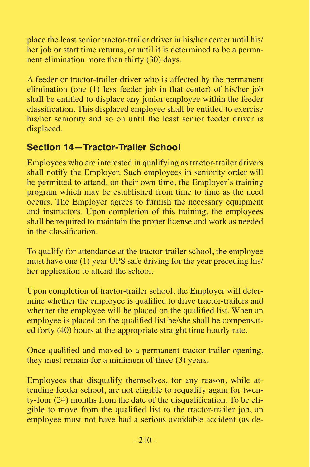place the least senior tractor-trailer driver in his/her center until his/ her job or start time returns, or until it is determined to be a permanent elimination more than thirty (30) days.

A feeder or tractor-trailer driver who is affected by the permanent elimination (one (1) less feeder job in that center) of his/her job shall be entitled to displace any junior employee within the feeder classification. This displaced employee shall be entitled to exercise his/her seniority and so on until the least senior feeder driver is displaced.

# **Section 14—Tractor-Trailer School**

Employees who are interested in qualifying as tractor-trailer drivers shall notify the Employer. Such employees in seniority order will be permitted to attend, on their own time, the Employer's training program which may be established from time to time as the need occurs. The Employer agrees to furnish the necessary equipment and instructors. Upon completion of this training, the employees shall be required to maintain the proper license and work as needed in the classification.

To qualify for attendance at the tractor-trailer school, the employee must have one (1) year UPS safe driving for the year preceding his/ her application to attend the school.

Upon completion of tractor-trailer school, the Employer will determine whether the employee is qualified to drive tractor-trailers and whether the employee will be placed on the qualified list. When an employee is placed on the qualified list he/she shall be compensated forty (40) hours at the appropriate straight time hourly rate.

Once qualified and moved to a permanent tractor-trailer opening, they must remain for a minimum of three (3) years.

Employees that disqualify themselves, for any reason, while attending feeder school, are not eligible to requalify again for twenty-four (24) months from the date of the disqualification. To be eligible to move from the qualified list to the tractor-trailer job, an employee must not have had a serious avoidable accident (as de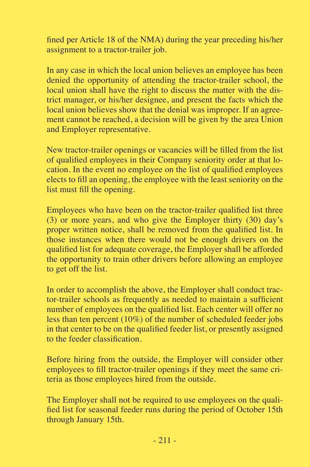fined per Article 18 of the NMA) during the year preceding his/her assignment to a tractor-trailer job.

In any case in which the local union believes an employee has been denied the opportunity of attending the tractor-trailer school, the local union shall have the right to discuss the matter with the district manager, or his/her designee, and present the facts which the local union believes show that the denial was improper. If an agreement cannot be reached, a decision will be given by the area Union and Employer representative.

New tractor-trailer openings or vacancies will be filled from the list of qualified employees in their Company seniority order at that location. In the event no employee on the list of qualified employees elects to fill an opening, the employee with the least seniority on the list must fill the opening.

Employees who have been on the tractor-trailer qualified list three (3) or more years, and who give the Employer thirty (30) day's proper written notice, shall be removed from the qualified list. In those instances when there would not be enough drivers on the qualified list for adequate coverage, the Employer shall be afforded the opportunity to train other drivers before allowing an employee to get off the list.

In order to accomplish the above, the Employer shall conduct tractor-trailer schools as frequently as needed to maintain a sufficient number of employees on the qualified list. Each center will offer no less than ten percent (10%) of the number of scheduled feeder jobs in that center to be on the qualified feeder list, or presently assigned to the feeder classification.

Before hiring from the outside, the Employer will consider other employees to fill tractor-trailer openings if they meet the same criteria as those employees hired from the outside.

The Employer shall not be required to use employees on the qualified list for seasonal feeder runs during the period of October 15th through January 15th.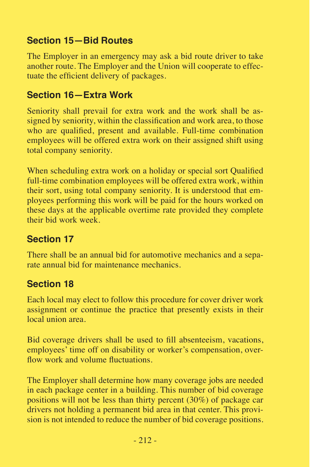## **Section 15—Bid Routes**

The Employer in an emergency may ask a bid route driver to take another route. The Employer and the Union will cooperate to effectuate the efficient delivery of packages.

#### **Section 16—Extra Work**

Seniority shall prevail for extra work and the work shall be assigned by seniority, within the classification and work area, to those who are qualified, present and available. Full-time combination employees will be offered extra work on their assigned shift using total company seniority.

When scheduling extra work on a holiday or special sort Qualified full-time combination employees will be offered extra work, within their sort, using total company seniority. It is understood that employees performing this work will be paid for the hours worked on these days at the applicable overtime rate provided they complete their bid work week.

# **Section 17**

There shall be an annual bid for automotive mechanics and a separate annual bid for maintenance mechanics.

# **Section 18**

Each local may elect to follow this procedure for cover driver work assignment or continue the practice that presently exists in their local union area.

Bid coverage drivers shall be used to fill absenteeism, vacations, employees' time off on disability or worker's compensation, overflow work and volume fluctuations.

The Employer shall determine how many coverage jobs are needed in each package center in a building. This number of bid coverage positions will not be less than thirty percent (30%) of package car drivers not holding a permanent bid area in that center. This provision is not intended to reduce the number of bid coverage positions.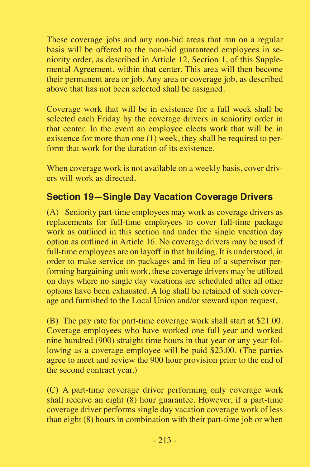These coverage jobs and any non-bid areas that run on a regular basis will be offered to the non-bid guaranteed employees in seniority order, as described in Article 12, Section 1, of this Supplemental Agreement, within that center. This area will then become their permanent area or job. Any area or coverage job, as described above that has not been selected shall be assigned.

Coverage work that will be in existence for a full week shall be selected each Friday by the coverage drivers in seniority order in that center. In the event an employee elects work that will be in existence for more than one (1) week, they shall be required to perform that work for the duration of its existence.

When coverage work is not available on a weekly basis, cover drivers will work as directed.

#### **Section 19—Single Day Vacation Coverage Drivers**

(A) Seniority part-time employees may work as coverage drivers as replacements for full-time employees to cover full-time package work as outlined in this section and under the single vacation day option as outlined in Article 16. No coverage drivers may be used if full-time employees are on layoff in that building. It is understood, in order to make service on packages and in lieu of a supervisor performing bargaining unit work, these coverage drivers may be utilized on days where no single day vacations are scheduled after all other options have been exhausted. A log shall be retained of such coverage and furnished to the Local Union and/or steward upon request.

(B) The pay rate for part-time coverage work shall start at \$21.00. Coverage employees who have worked one full year and worked nine hundred (900) straight time hours in that year or any year following as a coverage employee will be paid \$23.00. (The parties agree to meet and review the 900 hour provision prior to the end of the second contract year.)

(C) A part-time coverage driver performing only coverage work shall receive an eight (8) hour guarantee. However, if a part-time coverage driver performs single day vacation coverage work of less than eight (8) hours in combination with their part-time job or when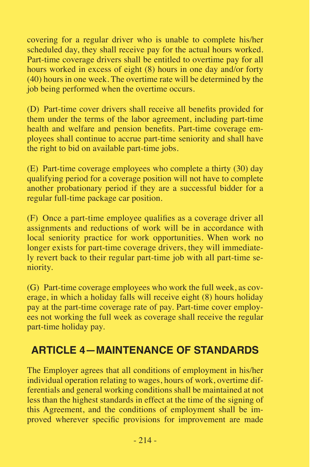covering for a regular driver who is unable to complete his/her scheduled day, they shall receive pay for the actual hours worked. Part-time coverage drivers shall be entitled to overtime pay for all hours worked in excess of eight (8) hours in one day and/or forty (40) hours in one week. The overtime rate will be determined by the job being performed when the overtime occurs.

(D) Part-time cover drivers shall receive all benefits provided for them under the terms of the labor agreement, including part-time health and welfare and pension benefits. Part-time coverage employees shall continue to accrue part-time seniority and shall have the right to bid on available part-time jobs.

(E) Part-time coverage employees who complete a thirty (30) day qualifying period for a coverage position will not have to complete another probationary period if they are a successful bidder for a regular full-time package car position.

(F) Once a part-time employee qualifies as a coverage driver all assignments and reductions of work will be in accordance with local seniority practice for work opportunities. When work no longer exists for part-time coverage drivers, they will immediately revert back to their regular part-time job with all part-time seniority.

(G) Part-time coverage employees who work the full week, as coverage, in which a holiday falls will receive eight (8) hours holiday pay at the part-time coverage rate of pay. Part-time cover employees not working the full week as coverage shall receive the regular part-time holiday pay.

# **ARTICLE 4—MAINTENANCE OF STANDARDS**

The Employer agrees that all conditions of employment in his/her individual operation relating to wages, hours of work, overtime differentials and general working conditions shall be maintained at not less than the highest standards in effect at the time of the signing of this Agreement, and the conditions of employment shall be improved wherever specific provisions for improvement are made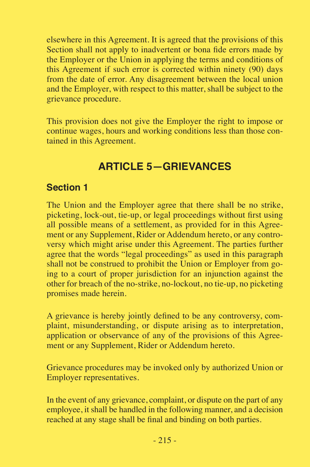elsewhere in this Agreement. It is agreed that the provisions of this Section shall not apply to inadvertent or bona fide errors made by the Employer or the Union in applying the terms and conditions of this Agreement if such error is corrected within ninety (90) days from the date of error. Any disagreement between the local union and the Employer, with respect to this matter, shall be subject to the grievance procedure.

This provision does not give the Employer the right to impose or continue wages, hours and working conditions less than those contained in this Agreement.

# **ARTICLE 5—GRIEVANCES**

#### **Section 1**

The Union and the Employer agree that there shall be no strike, picketing, lock-out, tie-up, or legal proceedings without first using all possible means of a settlement, as provided for in this Agreement or any Supplement, Rider or Addendum hereto, or any controversy which might arise under this Agreement. The parties further agree that the words "legal proceedings" as used in this paragraph shall not be construed to prohibit the Union or Employer from going to a court of proper jurisdiction for an injunction against the other for breach of the no-strike, no-lockout, no tie-up, no picketing promises made herein.

A grievance is hereby jointly defined to be any controversy, complaint, misunderstanding, or dispute arising as to interpretation, application or observance of any of the provisions of this Agreement or any Supplement, Rider or Addendum hereto.

Grievance procedures may be invoked only by authorized Union or Employer representatives.

In the event of any grievance, complaint, or dispute on the part of any employee, it shall be handled in the following manner, and a decision reached at any stage shall be final and binding on both parties.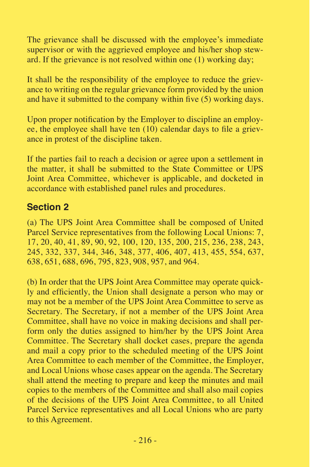The grievance shall be discussed with the employee's immediate supervisor or with the aggrieved employee and his/her shop steward. If the grievance is not resolved within one (1) working day;

It shall be the responsibility of the employee to reduce the grievance to writing on the regular grievance form provided by the union and have it submitted to the company within five (5) working days.

Upon proper notification by the Employer to discipline an employee, the employee shall have ten (10) calendar days to file a grievance in protest of the discipline taken.

If the parties fail to reach a decision or agree upon a settlement in the matter, it shall be submitted to the State Committee or UPS Joint Area Committee, whichever is applicable, and docketed in accordance with established panel rules and procedures.

#### **Section 2**

(a) The UPS Joint Area Committee shall be composed of United Parcel Service representatives from the following Local Unions: 7, 17, 20, 40, 41, 89, 90, 92, 100, 120, 135, 200, 215, 236, 238, 243, 245, 332, 337, 344, 346, 348, 377, 406, 407, 413, 455, 554, 637, 638, 651, 688, 696, 795, 823, 908, 957, and 964.

(b) In order that the UPS Joint Area Committee may operate quickly and efficiently, the Union shall designate a person who may or may not be a member of the UPS Joint Area Committee to serve as Secretary. The Secretary, if not a member of the UPS Joint Area Committee, shall have no voice in making decisions and shall perform only the duties assigned to him/her by the UPS Joint Area Committee. The Secretary shall docket cases, prepare the agenda and mail a copy prior to the scheduled meeting of the UPS Joint Area Committee to each member of the Committee, the Employer, and Local Unions whose cases appear on the agenda. The Secretary shall attend the meeting to prepare and keep the minutes and mail copies to the members of the Committee and shall also mail copies of the decisions of the UPS Joint Area Committee, to all United Parcel Service representatives and all Local Unions who are party to this Agreement.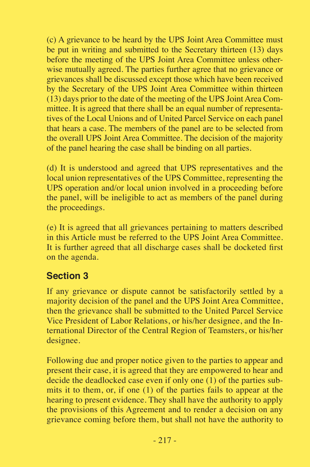(c) A grievance to be heard by the UPS Joint Area Committee must be put in writing and submitted to the Secretary thirteen (13) days before the meeting of the UPS Joint Area Committee unless otherwise mutually agreed. The parties further agree that no grievance or grievances shall be discussed except those which have been received by the Secretary of the UPS Joint Area Committee within thirteen (13) days prior to the date of the meeting of the UPS Joint Area Committee. It is agreed that there shall be an equal number of representatives of the Local Unions and of United Parcel Service on each panel that hears a case. The members of the panel are to be selected from the overall UPS Joint Area Committee. The decision of the majority of the panel hearing the case shall be binding on all parties.

(d) It is understood and agreed that UPS representatives and the local union representatives of the UPS Committee, representing the UPS operation and/or local union involved in a proceeding before the panel, will be ineligible to act as members of the panel during the proceedings.

(e) It is agreed that all grievances pertaining to matters described in this Article must be referred to the UPS Joint Area Committee. It is further agreed that all discharge cases shall be docketed first on the agenda.

#### **Section 3**

If any grievance or dispute cannot be satisfactorily settled by a majority decision of the panel and the UPS Joint Area Committee, then the grievance shall be submitted to the United Parcel Service Vice President of Labor Relations, or his/her designee, and the International Director of the Central Region of Teamsters, or his/her designee.

Following due and proper notice given to the parties to appear and present their case, it is agreed that they are empowered to hear and decide the deadlocked case even if only one  $(1)$  of the parties submits it to them, or, if one (1) of the parties fails to appear at the hearing to present evidence. They shall have the authority to apply the provisions of this Agreement and to render a decision on any grievance coming before them, but shall not have the authority to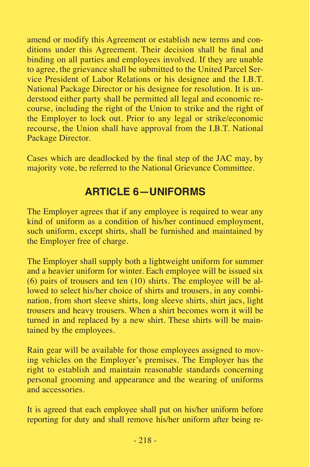amend or modify this Agreement or establish new terms and conditions under this Agreement. Their decision shall be final and binding on all parties and employees involved. If they are unable to agree, the grievance shall be submitted to the United Parcel Service President of Labor Relations or his designee and the I.B.T. National Package Director or his designee for resolution. It is understood either party shall be permitted all legal and economic recourse, including the right of the Union to strike and the right of the Employer to lock out. Prior to any legal or strike/economic recourse, the Union shall have approval from the I.B.T. National Package Director.

Cases which are deadlocked by the final step of the JAC may, by majority vote, be referred to the National Grievance Committee.

# **ARTICLE 6—UNIFORMS**

The Employer agrees that if any employee is required to wear any kind of uniform as a condition of his/her continued employment, such uniform, except shirts, shall be furnished and maintained by the Employer free of charge.

The Employer shall supply both a lightweight uniform for summer and a heavier uniform for winter. Each employee will be issued six (6) pairs of trousers and ten (10) shirts. The employee will be allowed to select his/her choice of shirts and trousers, in any combination, from short sleeve shirts, long sleeve shirts, shirt jacs, light trousers and heavy trousers. When a shirt becomes worn it will be turned in and replaced by a new shirt. These shirts will be maintained by the employees.

Rain gear will be available for those employees assigned to moving vehicles on the Employer's premises. The Employer has the right to establish and maintain reasonable standards concerning personal grooming and appearance and the wearing of uniforms and accessories.

It is agreed that each employee shall put on his/her uniform before reporting for duty and shall remove his/her uniform after being re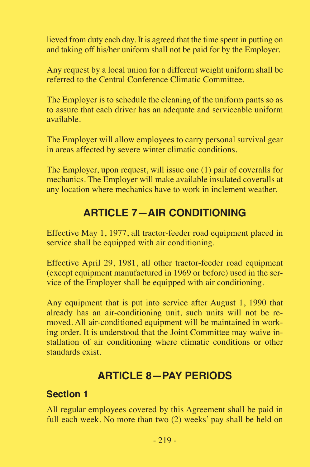lieved from duty each day. It is agreed that the time spent in putting on and taking off his/her uniform shall not be paid for by the Employer.

Any request by a local union for a different weight uniform shall be referred to the Central Conference Climatic Committee.

The Employer is to schedule the cleaning of the uniform pants so as to assure that each driver has an adequate and serviceable uniform available.

The Employer will allow employees to carry personal survival gear in areas affected by severe winter climatic conditions.

The Employer, upon request, will issue one (1) pair of coveralls for mechanics. The Employer will make available insulated coveralls at any location where mechanics have to work in inclement weather.

# **ARTICLE 7—AIR CONDITIONING**

Effective May 1, 1977, all tractor-feeder road equipment placed in service shall be equipped with air conditioning.

Effective April 29, 1981, all other tractor-feeder road equipment (except equipment manufactured in 1969 or before) used in the service of the Employer shall be equipped with air conditioning.

Any equipment that is put into service after August 1, 1990 that already has an air-conditioning unit, such units will not be removed. All air-conditioned equipment will be maintained in working order. It is understood that the Joint Committee may waive installation of air conditioning where climatic conditions or other standards exist.

# **ARTICLE 8—PAY PERIODS**

#### **Section 1**

All regular employees covered by this Agreement shall be paid in full each week. No more than two (2) weeks' pay shall be held on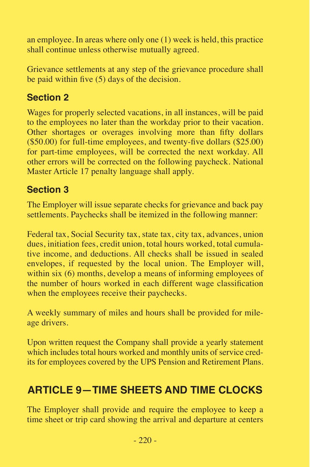an employee. In areas where only one (1) week is held, this practice shall continue unless otherwise mutually agreed.

Grievance settlements at any step of the grievance procedure shall be paid within five (5) days of the decision.

## **Section 2**

Wages for properly selected vacations, in all instances, will be paid to the employees no later than the workday prior to their vacation. Other shortages or overages involving more than fifty dollars (\$50.00) for full-time employees, and twenty-five dollars (\$25.00) for part-time employees, will be corrected the next workday. All other errors will be corrected on the following paycheck. National Master Article 17 penalty language shall apply.

#### **Section 3**

The Employer will issue separate checks for grievance and back pay settlements. Paychecks shall be itemized in the following manner:

Federal tax, Social Security tax, state tax, city tax, advances, union dues, initiation fees, credit union, total hours worked, total cumulative income, and deductions. All checks shall be issued in sealed envelopes, if requested by the local union. The Employer will, within six (6) months, develop a means of informing employees of the number of hours worked in each different wage classification when the employees receive their paychecks.

A weekly summary of miles and hours shall be provided for mileage drivers.

Upon written request the Company shall provide a yearly statement which includes total hours worked and monthly units of service credits for employees covered by the UPS Pension and Retirement Plans.

# **ARTICLE 9—TIME SHEETS AND TIME CLOCKS**

The Employer shall provide and require the employee to keep a time sheet or trip card showing the arrival and departure at centers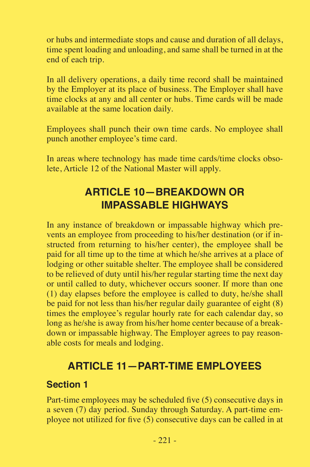or hubs and intermediate stops and cause and duration of all delays, time spent loading and unloading, and same shall be turned in at the end of each trip.

In all delivery operations, a daily time record shall be maintained by the Employer at its place of business. The Employer shall have time clocks at any and all center or hubs. Time cards will be made available at the same location daily.

Employees shall punch their own time cards. No employee shall punch another employee's time card.

In areas where technology has made time cards/time clocks obsolete, Article 12 of the National Master will apply.

# **ARTICLE 10—BREAKDOWN OR IMPASSABLE HIGHWAYS**

In any instance of breakdown or impassable highway which prevents an employee from proceeding to his/her destination (or if instructed from returning to his/her center), the employee shall be paid for all time up to the time at which he/she arrives at a place of lodging or other suitable shelter. The employee shall be considered to be relieved of duty until his/her regular starting time the next day or until called to duty, whichever occurs sooner. If more than one (1) day elapses before the employee is called to duty, he/she shall be paid for not less than his/her regular daily guarantee of eight (8) times the employee's regular hourly rate for each calendar day, so long as he/she is away from his/her home center because of a breakdown or impassable highway. The Employer agrees to pay reasonable costs for meals and lodging.

# **ARTICLE 11—PART-TIME EMPLOYEES**

#### **Section 1**

Part-time employees may be scheduled five (5) consecutive days in a seven (7) day period. Sunday through Saturday. A part-time employee not utilized for five (5) consecutive days can be called in at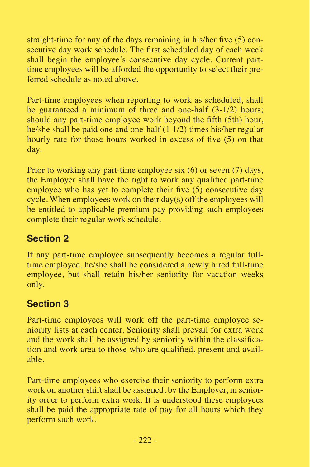straight-time for any of the days remaining in his/her five (5) consecutive day work schedule. The first scheduled day of each week shall begin the employee's consecutive day cycle. Current parttime employees will be afforded the opportunity to select their preferred schedule as noted above.

Part-time employees when reporting to work as scheduled, shall be guaranteed a minimum of three and one-half (3-1/2) hours; should any part-time employee work beyond the fifth (5th) hour, he/she shall be paid one and one-half (1 1/2) times his/her regular hourly rate for those hours worked in excess of five (5) on that day.

Prior to working any part-time employee six (6) or seven (7) days, the Employer shall have the right to work any qualified part-time employee who has yet to complete their five  $(5)$  consecutive day cycle. When employees work on their day(s) off the employees will be entitled to applicable premium pay providing such employees complete their regular work schedule.

# **Section 2**

If any part-time employee subsequently becomes a regular fulltime employee, he/she shall be considered a newly hired full-time employee, but shall retain his/her seniority for vacation weeks only.

# **Section 3**

Part-time employees will work off the part-time employee seniority lists at each center. Seniority shall prevail for extra work and the work shall be assigned by seniority within the classification and work area to those who are qualified, present and available.

Part-time employees who exercise their seniority to perform extra work on another shift shall be assigned, by the Employer, in seniority order to perform extra work. It is understood these employees shall be paid the appropriate rate of pay for all hours which they perform such work.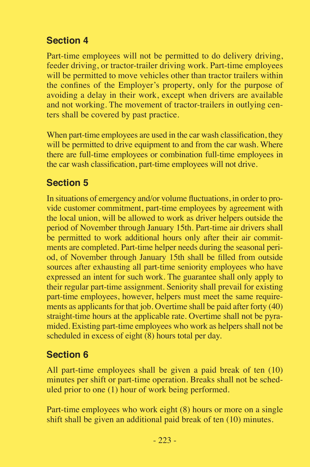# **Section 4**

Part-time employees will not be permitted to do delivery driving, feeder driving, or tractor-trailer driving work. Part-time employees will be permitted to move vehicles other than tractor trailers within the confines of the Employer's property, only for the purpose of avoiding a delay in their work, except when drivers are available and not working. The movement of tractor-trailers in outlying centers shall be covered by past practice.

When part-time employees are used in the car wash classification, they will be permitted to drive equipment to and from the car wash. Where there are full-time employees or combination full-time employees in the car wash classification, part-time employees will not drive.

## **Section 5**

In situations of emergency and/or volume fluctuations, in order to provide customer commitment, part-time employees by agreement with the local union, will be allowed to work as driver helpers outside the period of November through January 15th. Part-time air drivers shall be permitted to work additional hours only after their air commitments are completed. Part-time helper needs during the seasonal period, of November through January 15th shall be filled from outside sources after exhausting all part-time seniority employees who have expressed an intent for such work. The guarantee shall only apply to their regular part-time assignment. Seniority shall prevail for existing part-time employees, however, helpers must meet the same requirements as applicants for that job. Overtime shall be paid after forty (40) straight-time hours at the applicable rate. Overtime shall not be pyramided. Existing part-time employees who work as helpers shall not be scheduled in excess of eight (8) hours total per day.

## **Section 6**

All part-time employees shall be given a paid break of ten (10) minutes per shift or part-time operation. Breaks shall not be scheduled prior to one (1) hour of work being performed.

Part-time employees who work eight (8) hours or more on a single shift shall be given an additional paid break of ten (10) minutes.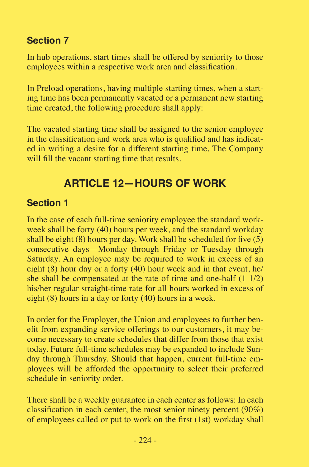## **Section 7**

In hub operations, start times shall be offered by seniority to those employees within a respective work area and classification.

In Preload operations, having multiple starting times, when a starting time has been permanently vacated or a permanent new starting time created, the following procedure shall apply:

The vacated starting time shall be assigned to the senior employee in the classification and work area who is qualified and has indicated in writing a desire for a different starting time. The Company will fill the vacant starting time that results.

# **ARTICLE 12—HOURS OF WORK**

## **Section 1**

In the case of each full-time seniority employee the standard workweek shall be forty (40) hours per week, and the standard workday shall be eight  $(8)$  hours per day. Work shall be scheduled for five  $(5)$ consecutive days—Monday through Friday or Tuesday through Saturday. An employee may be required to work in excess of an eight (8) hour day or a forty (40) hour week and in that event, he/ she shall be compensated at the rate of time and one-half (1 1/2) his/her regular straight-time rate for all hours worked in excess of eight (8) hours in a day or forty (40) hours in a week.

In order for the Employer, the Union and employees to further benefit from expanding service offerings to our customers, it may become necessary to create schedules that differ from those that exist today. Future full-time schedules may be expanded to include Sunday through Thursday. Should that happen, current full-time employees will be afforded the opportunity to select their preferred schedule in seniority order.

There shall be a weekly guarantee in each center as follows: In each classification in each center, the most senior ninety percent (90%) of employees called or put to work on the first (1st) workday shall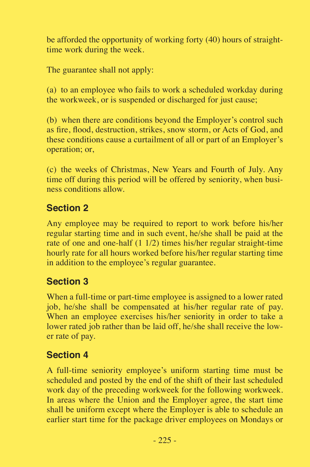be afforded the opportunity of working forty (40) hours of straighttime work during the week.

The guarantee shall not apply:

(a) to an employee who fails to work a scheduled workday during the workweek, or is suspended or discharged for just cause;

(b) when there are conditions beyond the Employer's control such as fire, flood, destruction, strikes, snow storm, or Acts of God, and these conditions cause a curtailment of all or part of an Employer's operation; or,

(c) the weeks of Christmas, New Years and Fourth of July. Any time off during this period will be offered by seniority, when business conditions allow.

## **Section 2**

Any employee may be required to report to work before his/her regular starting time and in such event, he/she shall be paid at the rate of one and one-half (1 1/2) times his/her regular straight-time hourly rate for all hours worked before his/her regular starting time in addition to the employee's regular guarantee.

## **Section 3**

When a full-time or part-time employee is assigned to a lower rated job, he/she shall be compensated at his/her regular rate of pay. When an employee exercises his/her seniority in order to take a lower rated job rather than be laid off, he/she shall receive the lower rate of pay.

## **Section 4**

A full-time seniority employee's uniform starting time must be scheduled and posted by the end of the shift of their last scheduled work day of the preceding workweek for the following workweek. In areas where the Union and the Employer agree, the start time shall be uniform except where the Employer is able to schedule an earlier start time for the package driver employees on Mondays or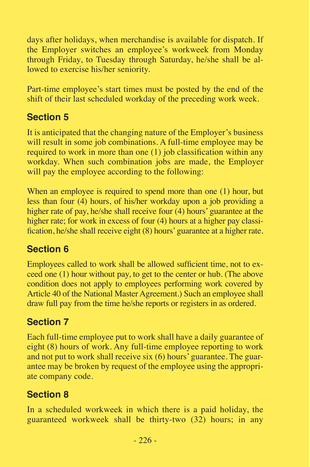days after holidays, when merchandise is available for dispatch. If the Employer switches an employee's workweek from Monday through Friday, to Tuesday through Saturday, he/she shall be allowed to exercise his/her seniority.

Part-time employee's start times must be posted by the end of the shift of their last scheduled workday of the preceding work week.

# **Section 5**

It is anticipated that the changing nature of the Employer's business will result in some job combinations. A full-time employee may be required to work in more than one (1) job classification within any workday. When such combination jobs are made, the Employer will pay the employee according to the following:

When an employee is required to spend more than one (1) hour, but less than four (4) hours, of his/her workday upon a job providing a higher rate of pay, he/she shall receive four (4) hours' guarantee at the higher rate; for work in excess of four (4) hours at a higher pay classification, he/she shall receive eight (8) hours' guarantee at a higher rate.

# **Section 6**

Employees called to work shall be allowed sufficient time, not to exceed one (1) hour without pay, to get to the center or hub. (The above condition does not apply to employees performing work covered by Article 40 of the National Master Agreement.) Such an employee shall draw full pay from the time he/she reports or registers in as ordered.

# **Section 7**

Each full-time employee put to work shall have a daily guarantee of eight (8) hours of work. Any full-time employee reporting to work and not put to work shall receive six (6) hours' guarantee. The guarantee may be broken by request of the employee using the appropriate company code.

# **Section 8**

In a scheduled workweek in which there is a paid holiday, the guaranteed workweek shall be thirty-two (32) hours; in any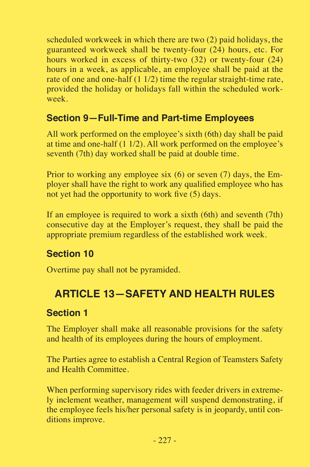scheduled workweek in which there are two (2) paid holidays, the guaranteed workweek shall be twenty-four (24) hours, etc. For hours worked in excess of thirty-two (32) or twenty-four (24) hours in a week, as applicable, an employee shall be paid at the rate of one and one-half (1 1/2) time the regular straight-time rate, provided the holiday or holidays fall within the scheduled workweek.

#### **Section 9—Full-Time and Part-time Employees**

All work performed on the employee's sixth (6th) day shall be paid at time and one-half (1 1/2). All work performed on the employee's seventh (7th) day worked shall be paid at double time.

Prior to working any employee six (6) or seven (7) days, the Employer shall have the right to work any qualified employee who has not yet had the opportunity to work five (5) days.

If an employee is required to work a sixth (6th) and seventh (7th) consecutive day at the Employer's request, they shall be paid the appropriate premium regardless of the established work week.

## **Section 10**

Overtime pay shall not be pyramided.

# **ARTICLE 13—SAFETY AND HEALTH RULES**

#### **Section 1**

The Employer shall make all reasonable provisions for the safety and health of its employees during the hours of employment.

The Parties agree to establish a Central Region of Teamsters Safety and Health Committee.

When performing supervisory rides with feeder drivers in extremely inclement weather, management will suspend demonstrating, if the employee feels his/her personal safety is in jeopardy, until conditions improve.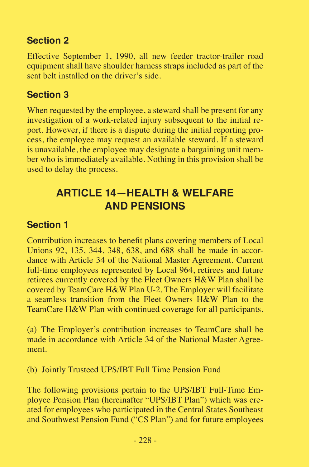## **Section 2**

Effective September 1, 1990, all new feeder tractor-trailer road equipment shall have shoulder harness straps included as part of the seat belt installed on the driver's side.

## **Section 3**

When requested by the employee, a steward shall be present for any investigation of a work-related injury subsequent to the initial report. However, if there is a dispute during the initial reporting process, the employee may request an available steward. If a steward is unavailable, the employee may designate a bargaining unit member who is immediately available. Nothing in this provision shall be used to delay the process.

# **ARTICLE 14—HEALTH & WELFARE AND PENSIONS**

# **Section 1**

Contribution increases to benefit plans covering members of Local Unions 92, 135, 344, 348, 638, and 688 shall be made in accordance with Article 34 of the National Master Agreement. Current full-time employees represented by Local 964, retirees and future retirees currently covered by the Fleet Owners H&W Plan shall be covered by TeamCare H&W Plan U-2. The Employer will facilitate a seamless transition from the Fleet Owners H&W Plan to the TeamCare H&W Plan with continued coverage for all participants.

(a) The Employer's contribution increases to TeamCare shall be made in accordance with Article 34 of the National Master Agreement.

(b) Jointly Trusteed UPS/IBT Full Time Pension Fund

The following provisions pertain to the UPS/IBT Full-Time Employee Pension Plan (hereinafter "UPS/IBT Plan") which was created for employees who participated in the Central States Southeast and Southwest Pension Fund ("CS Plan") and for future employees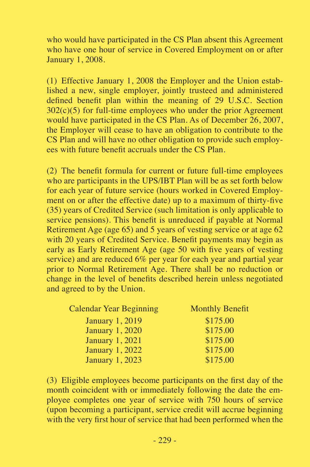who would have participated in the CS Plan absent this Agreement who have one hour of service in Covered Employment on or after January 1, 2008.

(1) Effective January 1, 2008 the Employer and the Union established a new, single employer, jointly trusteed and administered defined benefit plan within the meaning of 29 U.S.C. Section  $302(c)(5)$  for full-time employees who under the prior Agreement would have participated in the CS Plan. As of December 26, 2007, the Employer will cease to have an obligation to contribute to the CS Plan and will have no other obligation to provide such employees with future benefit accruals under the CS Plan.

(2) The benefit formula for current or future full-time employees who are participants in the UPS/IBT Plan will be as set forth below for each year of future service (hours worked in Covered Employment on or after the effective date) up to a maximum of thirty-five (35) years of Credited Service (such limitation is only applicable to service pensions). This benefit is unreduced if payable at Normal Retirement Age (age 65) and 5 years of vesting service or at age 62 with 20 years of Credited Service. Benefit payments may begin as early as Early Retirement Age (age 50 with five years of vesting service) and are reduced 6% per year for each year and partial year prior to Normal Retirement Age. There shall be no reduction or change in the level of benefits described herein unless negotiated and agreed to by the Union.

| Calendar Year Beginning | <b>Monthly Benefit</b> |
|-------------------------|------------------------|
| <b>January 1, 2019</b>  | \$175.00               |
| <b>January 1, 2020</b>  | \$175.00               |
| <b>January 1, 2021</b>  | \$175.00               |
| January 1, 2022         | \$175.00               |
| <b>January 1, 2023</b>  | \$175.00               |

(3) Eligible employees become participants on the first day of the month coincident with or immediately following the date the employee completes one year of service with  $750$  hours of service (upon becoming a participant, service credit will accrue beginning with the very first hour of service that had been performed when the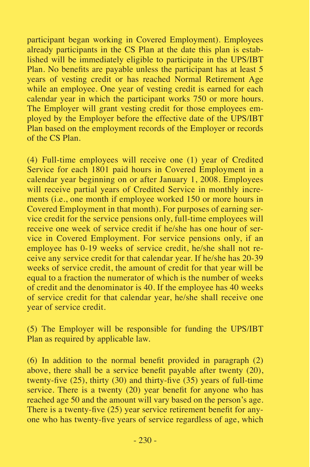participant began working in Covered Employment). Employees already participants in the CS Plan at the date this plan is established will be immediately eligible to participate in the UPS/IBT Plan. No benefits are payable unless the participant has at least 5 years of vesting credit or has reached Normal Retirement Age while an employee. One year of vesting credit is earned for each calendar year in which the participant works 750 or more hours. The Employer will grant vesting credit for those employees employed by the Employer before the effective date of the UPS/IBT Plan based on the employment records of the Employer or records of the CS Plan.

(4) Full-time employees will receive one (1) year of Credited Service for each 1801 paid hours in Covered Employment in a calendar year beginning on or after January 1, 2008. Employees will receive partial years of Credited Service in monthly increments (i.e., one month if employee worked 150 or more hours in Covered Employment in that month). For purposes of earning service credit for the service pensions only, full-time employees will receive one week of service credit if he/she has one hour of service in Covered Employment. For service pensions only, if an employee has 0-19 weeks of service credit, he/she shall not receive any service credit for that calendar year. If he/she has 20-39 weeks of service credit, the amount of credit for that year will be equal to a fraction the numerator of which is the number of weeks of credit and the denominator is 40. If the employee has 40 weeks of service credit for that calendar year, he/she shall receive one year of service credit.

(5) The Employer will be responsible for funding the UPS/IBT Plan as required by applicable law.

(6) In addition to the normal benefit provided in paragraph (2) above, there shall be a service benefit payable after twenty (20), twenty-five (25), thirty (30) and thirty-five (35) years of full-time service. There is a twenty (20) year benefit for anyone who has reached age 50 and the amount will vary based on the person's age. There is a twenty-five (25) year service retirement benefit for anyone who has twenty-five years of service regardless of age, which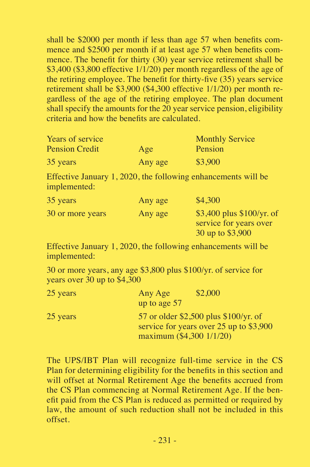shall be \$2000 per month if less than age 57 when benefits commence and \$2500 per month if at least age 57 when benefits commence. The benefit for thirty (30) year service retirement shall be \$3,400 (\$3,800 effective  $1/1/20$ ) per month regardless of the age of the retiring employee. The benefit for thirty-five (35) years service retirement shall be \$3,900 (\$4,300 effective 1/1/20) per month regardless of the age of the retiring employee. The plan document shall specify the amounts for the 20 year service pension, eligibility criteria and how the benefits are calculated.

| Years of service      |         | <b>Monthly Service</b> |
|-----------------------|---------|------------------------|
| <b>Pension Credit</b> | Age     | Pension                |
| 35 years              | Any age | \$3,900                |

Effective January 1, 2020, the following enhancements will be implemented:

| 35 years         | Any age | \$4,300                                                                    |
|------------------|---------|----------------------------------------------------------------------------|
| 30 or more years | Any age | $$3,400$ plus $$100/yr$ . of<br>service for years over<br>30 up to \$3,900 |

Effective January 1, 2020, the following enhancements will be implemented:

30 or more years, any age \$3,800 plus \$100/yr. of service for years over 30 up to \$4,300

| 25 years | Any Age                  | \$2,000                                                                          |
|----------|--------------------------|----------------------------------------------------------------------------------|
|          | up to age 57             |                                                                                  |
| 25 years | maximum (\$4,300 1/1/20) | 57 or older \$2,500 plus \$100/yr. of<br>service for years over 25 up to \$3,900 |

The UPS/IBT Plan will recognize full-time service in the CS Plan for determining eligibility for the benefits in this section and will offset at Normal Retirement Age the benefits accrued from the CS Plan commencing at Normal Retirement Age. If the benefit paid from the CS Plan is reduced as permitted or required by law, the amount of such reduction shall not be included in this offset.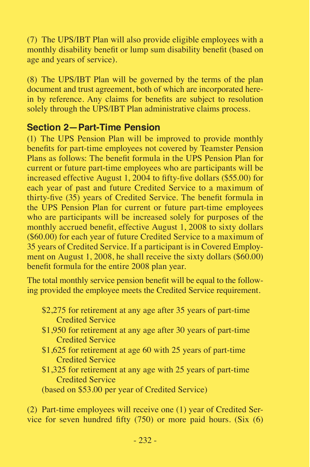(7) The UPS/IBT Plan will also provide eligible employees with a monthly disability benefit or lump sum disability benefit (based on age and years of service).

(8) The UPS/IBT Plan will be governed by the terms of the plan document and trust agreement, both of which are incorporated herein by reference. Any claims for benefits are subject to resolution solely through the UPS/IBT Plan administrative claims process.

#### **Section 2—Part-Time Pension**

(1) The UPS Pension Plan will be improved to provide monthly benefits for part-time employees not covered by Teamster Pension Plans as follows: The benefit formula in the UPS Pension Plan for current or future part-time employees who are participants will be increased effective August 1, 2004 to fifty-five dollars (\$55.00) for each year of past and future Credited Service to a maximum of thirty-five (35) years of Credited Service. The benefit formula in the UPS Pension Plan for current or future part-time employees who are participants will be increased solely for purposes of the monthly accrued benefit, effective August 1, 2008 to sixty dollars (\$60.00) for each year of future Credited Service to a maximum of 35 years of Credited Service. If a participant is in Covered Employment on August 1, 2008, he shall receive the sixty dollars (\$60.00) benefit formula for the entire 2008 plan year.

The total monthly service pension benefit will be equal to the following provided the employee meets the Credited Service requirement.

- \$2,275 for retirement at any age after 35 years of part-time Credited Service
- \$1,950 for retirement at any age after 30 years of part-time Credited Service
- \$1,625 for retirement at age 60 with 25 years of part-time Credited Service
- \$1,325 for retirement at any age with 25 years of part-time Credited Service

(based on \$53.00 per year of Credited Service)

(2) Part-time employees will receive one (1) year of Credited Service for seven hundred fifty (750) or more paid hours. (Six (6)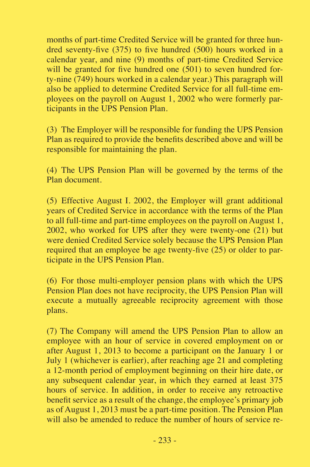months of part-time Credited Service will be granted for three hundred seventy-five (375) to five hundred (500) hours worked in a calendar year, and nine (9) months of part-time Credited Service will be granted for five hundred one  $(501)$  to seven hundred forty-nine (749) hours worked in a calendar year.) This paragraph will also be applied to determine Credited Service for all full-time employees on the payroll on August 1, 2002 who were formerly participants in the UPS Pension Plan.

(3) The Employer will be responsible for funding the UPS Pension Plan as required to provide the benefits described above and will be responsible for maintaining the plan.

(4) The UPS Pension Plan will be governed by the terms of the Plan document.

(5) Effective August I. 2002, the Employer will grant additional years of Credited Service in accordance with the terms of the Plan to all full-time and part-time employees on the payroll on August 1, 2002, who worked for UPS after they were twenty-one (21) but were denied Credited Service solely because the UPS Pension Plan required that an employee be age twenty-five (25) or older to participate in the UPS Pension Plan.

(6) For those multi-employer pension plans with which the UPS Pension Plan does not have reciprocity, the UPS Pension Plan will execute a mutually agreeable reciprocity agreement with those plans.

(7) The Company will amend the UPS Pension Plan to allow an employee with an hour of service in covered employment on or after August 1, 2013 to become a participant on the January 1 or July 1 (whichever is earlier), after reaching age 21 and completing a 12-month period of employment beginning on their hire date, or any subsequent calendar year, in which they earned at least 375 hours of service. In addition, in order to receive any retroactive benefit service as a result of the change, the employee's primary job as of August 1, 2013 must be a part-time position. The Pension Plan will also be amended to reduce the number of hours of service re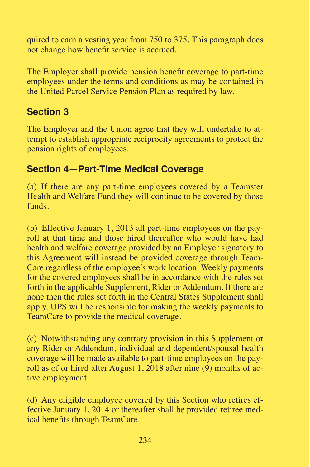quired to earn a vesting year from 750 to 375. This paragraph does not change how benefit service is accrued.

The Employer shall provide pension benefit coverage to part-time employees under the terms and conditions as may be contained in the United Parcel Service Pension Plan as required by law.

#### **Section 3**

The Employer and the Union agree that they will undertake to attempt to establish appropriate reciprocity agreements to protect the pension rights of employees.

#### **Section 4—Part-Time Medical Coverage**

(a) If there are any part-time employees covered by a Teamster Health and Welfare Fund they will continue to be covered by those funds.

(b) Effective January 1, 2013 all part-time employees on the payroll at that time and those hired thereafter who would have had health and welfare coverage provided by an Employer signatory to this Agreement will instead be provided coverage through Team-Care regardless of the employee's work location. Weekly payments for the covered employees shall be in accordance with the rules set forth in the applicable Supplement, Rider or Addendum. If there are none then the rules set forth in the Central States Supplement shall apply. UPS will be responsible for making the weekly payments to TeamCare to provide the medical coverage.

(c) Notwithstanding any contrary provision in this Supplement or any Rider or Addendum, individual and dependent/spousal health coverage will be made available to part-time employees on the payroll as of or hired after August 1, 2018 after nine (9) months of active employment.

(d) Any eligible employee covered by this Section who retires effective January 1, 2014 or thereafter shall be provided retiree medical benefits through TeamCare.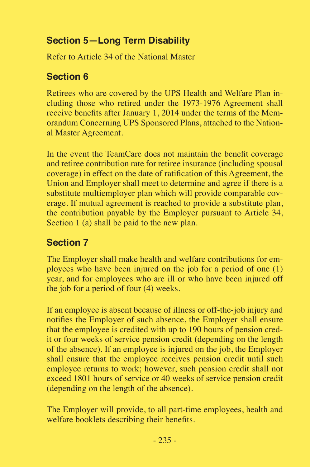# **Section 5—Long Term Disability**

Refer to Article 34 of the National Master

## **Section 6**

Retirees who are covered by the UPS Health and Welfare Plan including those who retired under the 1973-1976 Agreement shall receive benefits after January 1, 2014 under the terms of the Memorandum Concerning UPS Sponsored Plans, attached to the National Master Agreement.

In the event the TeamCare does not maintain the benefit coverage and retiree contribution rate for retiree insurance (including spousal coverage) in effect on the date of ratification of this Agreement, the Union and Employer shall meet to determine and agree if there is a substitute multiemployer plan which will provide comparable coverage. If mutual agreement is reached to provide a substitute plan, the contribution payable by the Employer pursuant to Article 34, Section 1 (a) shall be paid to the new plan.

# **Section 7**

The Employer shall make health and welfare contributions for employees who have been injured on the job for a period of one (1) year, and for employees who are ill or who have been injured off the job for a period of four (4) weeks.

If an employee is absent because of illness or off-the-job injury and notifies the Employer of such absence, the Employer shall ensure that the employee is credited with up to 190 hours of pension credit or four weeks of service pension credit (depending on the length of the absence). If an employee is injured on the job, the Employer shall ensure that the employee receives pension credit until such employee returns to work; however, such pension credit shall not exceed 1801 hours of service or 40 weeks of service pension credit (depending on the length of the absence).

The Employer will provide, to all part-time employees, health and welfare booklets describing their benefits.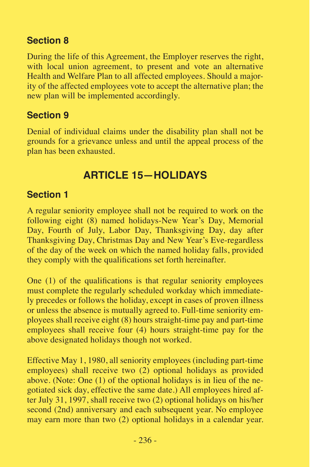## **Section 8**

During the life of this Agreement, the Employer reserves the right, with local union agreement, to present and vote an alternative Health and Welfare Plan to all affected employees. Should a majority of the affected employees vote to accept the alternative plan; the new plan will be implemented accordingly.

## **Section 9**

Denial of individual claims under the disability plan shall not be grounds for a grievance unless and until the appeal process of the plan has been exhausted.

# **ARTICLE 15—HOLIDAYS**

## **Section 1**

A regular seniority employee shall not be required to work on the following eight (8) named holidays-New Year's Day, Memorial Day, Fourth of July, Labor Day, Thanksgiving Day, day after Thanksgiving Day, Christmas Day and New Year's Eve-regardless of the day of the week on which the named holiday falls, provided they comply with the qualifications set forth hereinafter.

One (1) of the qualifications is that regular seniority employees must complete the regularly scheduled workday which immediately precedes or follows the holiday, except in cases of proven illness or unless the absence is mutually agreed to. Full-time seniority employees shall receive eight (8) hours straight-time pay and part-time employees shall receive four (4) hours straight-time pay for the above designated holidays though not worked.

Effective May 1, 1980, all seniority employees (including part-time employees) shall receive two (2) optional holidays as provided above. (Note: One (1) of the optional holidays is in lieu of the negotiated sick day, effective the same date.) All employees hired after July 31, 1997, shall receive two (2) optional holidays on his/her second (2nd) anniversary and each subsequent year. No employee may earn more than two (2) optional holidays in a calendar year.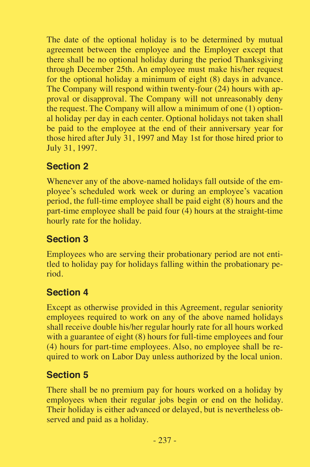The date of the optional holiday is to be determined by mutual agreement between the employee and the Employer except that there shall be no optional holiday during the period Thanksgiving through December 25th. An employee must make his/her request for the optional holiday a minimum of eight (8) days in advance. The Company will respond within twenty-four (24) hours with approval or disapproval. The Company will not unreasonably deny the request. The Company will allow a minimum of one (1) optional holiday per day in each center. Optional holidays not taken shall be paid to the employee at the end of their anniversary year for those hired after July 31, 1997 and May 1st for those hired prior to July 31, 1997.

## **Section 2**

Whenever any of the above-named holidays fall outside of the employee's scheduled work week or during an employee's vacation period, the full-time employee shall be paid eight (8) hours and the part-time employee shall be paid four (4) hours at the straight-time hourly rate for the holiday.

# **Section 3**

Employees who are serving their probationary period are not entitled to holiday pay for holidays falling within the probationary period.

# **Section 4**

Except as otherwise provided in this Agreement, regular seniority employees required to work on any of the above named holidays shall receive double his/her regular hourly rate for all hours worked with a guarantee of eight (8) hours for full-time employees and four (4) hours for part-time employees. Also, no employee shall be required to work on Labor Day unless authorized by the local union.

# **Section 5**

There shall be no premium pay for hours worked on a holiday by employees when their regular jobs begin or end on the holiday. Their holiday is either advanced or delayed, but is nevertheless observed and paid as a holiday.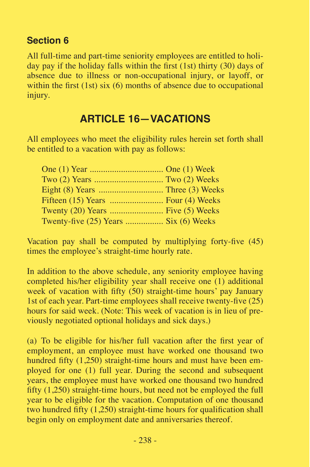#### **Section 6**

All full-time and part-time seniority employees are entitled to holiday pay if the holiday falls within the first (1st) thirty (30) days of absence due to illness or non-occupational injury, or layoff, or within the first  $(1st)$  six  $(6)$  months of absence due to occupational injury.

# **ARTICLE 16—VACATIONS**

All employees who meet the eligibility rules herein set forth shall be entitled to a vacation with pay as follows:

| Twenty-five (25) Years  Six (6) Weeks |  |
|---------------------------------------|--|

Vacation pay shall be computed by multiplying forty-five (45) times the employee's straight-time hourly rate.

In addition to the above schedule, any seniority employee having completed his/her eligibility year shall receive one (1) additional week of vacation with fifty (50) straight-time hours' pay January 1st of each year. Part-time employees shall receive twenty-five (25) hours for said week. (Note: This week of vacation is in lieu of previously negotiated optional holidays and sick days.)

(a) To be eligible for his/her full vacation after the first year of employment, an employee must have worked one thousand two hundred fifty (1,250) straight-time hours and must have been employed for one (1) full year. During the second and subsequent years, the employee must have worked one thousand two hundred fifty (1,250) straight-time hours, but need not be employed the full year to be eligible for the vacation. Computation of one thousand two hundred fifty (1,250) straight-time hours for qualification shall begin only on employment date and anniversaries thereof.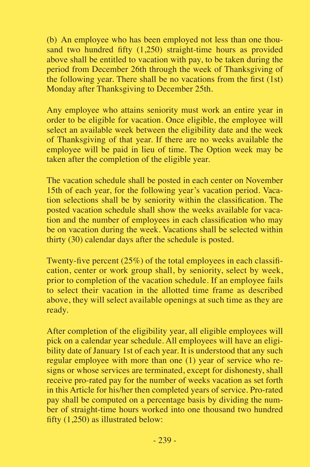(b) An employee who has been employed not less than one thousand two hundred fifty (1,250) straight-time hours as provided above shall be entitled to vacation with pay, to be taken during the period from December 26th through the week of Thanksgiving of the following year. There shall be no vacations from the first  $(1st)$ Monday after Thanksgiving to December 25th.

Any employee who attains seniority must work an entire year in order to be eligible for vacation. Once eligible, the employee will select an available week between the eligibility date and the week of Thanksgiving of that year. If there are no weeks available the employee will be paid in lieu of time. The Option week may be taken after the completion of the eligible year.

The vacation schedule shall be posted in each center on November 15th of each year, for the following year's vacation period. Vacation selections shall be by seniority within the classification. The posted vacation schedule shall show the weeks available for vacation and the number of employees in each classification who may be on vacation during the week. Vacations shall be selected within thirty (30) calendar days after the schedule is posted.

Twenty-five percent (25%) of the total employees in each classification, center or work group shall, by seniority, select by week, prior to completion of the vacation schedule. If an employee fails to select their vacation in the allotted time frame as described above, they will select available openings at such time as they are ready.

After completion of the eligibility year, all eligible employees will pick on a calendar year schedule. All employees will have an eligibility date of January 1st of each year. It is understood that any such regular employee with more than one (1) year of service who resigns or whose services are terminated, except for dishonesty, shall receive pro-rated pay for the number of weeks vacation as set forth in this Article for his/her then completed years of service. Pro-rated pay shall be computed on a percentage basis by dividing the number of straight-time hours worked into one thousand two hundred fifty (1,250) as illustrated below: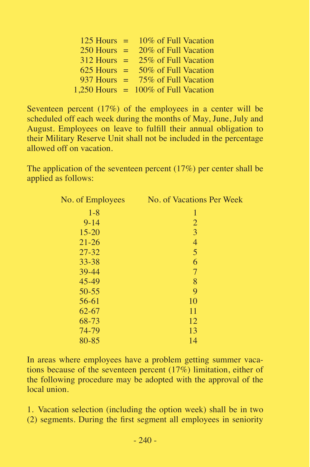| 125 Hours | $=$ | 10% of Full Vacation                   |
|-----------|-----|----------------------------------------|
| 250 Hours | $=$ | 20% of Full Vacation                   |
| 312 Hours | $=$ | 25% of Full Vacation                   |
| 625 Hours |     | 50% of Full Vacation                   |
| 937 Hours | $=$ | 75% of Full Vacation                   |
|           |     | 1,250 Hours $= 100\%$ of Full Vacation |

Seventeen percent (17%) of the employees in a center will be scheduled off each week during the months of May, June, July and August. Employees on leave to fulfill their annual obligation to their Military Reserve Unit shall not be included in the percentage allowed off on vacation.

The application of the seventeen percent (17%) per center shall be applied as follows:

| No. of Employees | No. of Vacations Per Week |
|------------------|---------------------------|
| $1 - 8$          | 1                         |
| $9 - 14$         | $\overline{2}$            |
| $15 - 20$        | 3                         |
| $21 - 26$        | 4                         |
| $27 - 32$        | 5                         |
| $33 - 38$        | 6                         |
| 39-44            | $\tau$                    |
| 45-49            | 8                         |
| $50 - 55$        | 9                         |
| 56-61            | 10                        |
| $62 - 67$        | 11                        |
| 68-73            | 12                        |
| 74-79            | 13                        |
| 80-85            | 14                        |

In areas where employees have a problem getting summer vacations because of the seventeen percent (17%) limitation, either of the following procedure may be adopted with the approval of the local union.

1. Vacation selection (including the option week) shall be in two (2) segments. During the first segment all employees in seniority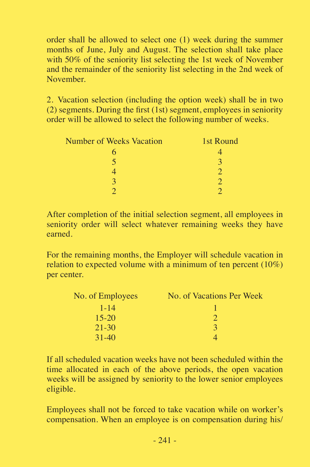order shall be allowed to select one (1) week during the summer months of June, July and August. The selection shall take place with 50% of the seniority list selecting the 1st week of November and the remainder of the seniority list selecting in the 2nd week of November.

2. Vacation selection (including the option week) shall be in two  $(2)$  segments. During the first  $(1st)$  segment, employees in seniority order will be allowed to select the following number of weeks.

| <b>Number of Weeks Vacation</b> | 1st Round |
|---------------------------------|-----------|
|                                 |           |
| 5                               | 2         |
|                                 |           |
| $\overline{\mathbf{c}}$         |           |
|                                 |           |

After completion of the initial selection segment, all employees in seniority order will select whatever remaining weeks they have earned.

For the remaining months, the Employer will schedule vacation in relation to expected volume with a minimum of ten percent (10%) per center.

| No. of Employees | No. of Vacations Per Week |
|------------------|---------------------------|
| $1 - 14$         |                           |
| $15-20$          |                           |
| $21 - 30$        | $\mathcal{R}$             |
| $31 - 40$        |                           |

If all scheduled vacation weeks have not been scheduled within the time allocated in each of the above periods, the open vacation weeks will be assigned by seniority to the lower senior employees eligible.

Employees shall not be forced to take vacation while on worker's compensation. When an employee is on compensation during his/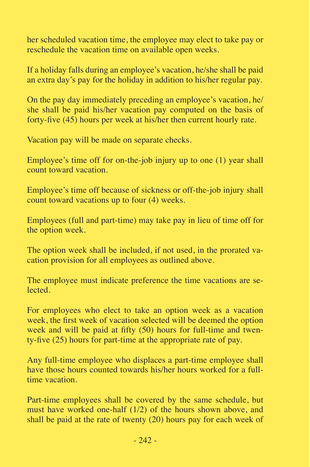her scheduled vacation time, the employee may elect to take pay or reschedule the vacation time on available open weeks.

If a holiday falls during an employee's vacation, he/she shall be paid an extra day's pay for the holiday in addition to his/her regular pay.

On the pay day immediately preceding an employee's vacation, he/ she shall be paid his/her vacation pay computed on the basis of forty-five (45) hours per week at his/her then current hourly rate.

Vacation pay will be made on separate checks.

Employee's time off for on-the-job injury up to one (1) year shall count toward vacation.

Employee's time off because of sickness or off-the-job injury shall count toward vacations up to four (4) weeks.

Employees (full and part-time) may take pay in lieu of time off for the option week.

The option week shall be included, if not used, in the prorated vacation provision for all employees as outlined above.

The employee must indicate preference the time vacations are selected.

For employees who elect to take an option week as a vacation week, the first week of vacation selected will be deemed the option week and will be paid at fifty (50) hours for full-time and twenty-five (25) hours for part-time at the appropriate rate of pay.

Any full-time employee who displaces a part-time employee shall have those hours counted towards his/her hours worked for a fulltime vacation.

Part-time employees shall be covered by the same schedule, but must have worked one-half (1/2) of the hours shown above, and shall be paid at the rate of twenty (20) hours pay for each week of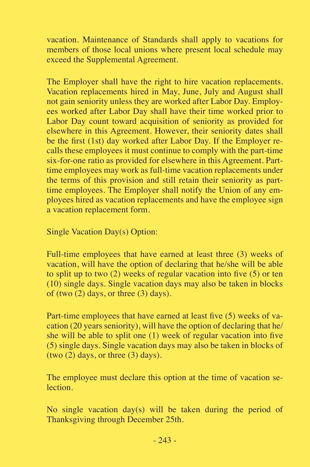vacation. Maintenance of Standards shall apply to vacations for members of those local unions where present local schedule may exceed the Supplemental Agreement.

The Employer shall have the right to hire vacation replacements. Vacation replacements hired in May, June, July and August shall not gain seniority unless they are worked after Labor Day. Employees worked after Labor Day shall have their time worked prior to Labor Day count toward acquisition of seniority as provided for elsewhere in this Agreement. However, their seniority dates shall be the first (1st) day worked after Labor Day. If the Employer recalls these employees it must continue to comply with the part-time six-for-one ratio as provided for elsewhere in this Agreement. Parttime employees may work as full-time vacation replacements under the terms of this provision and still retain their seniority as parttime employees. The Employer shall notify the Union of any employees hired as vacation replacements and have the employee sign a vacation replacement form.

Single Vacation Day(s) Option:

Full-time employees that have earned at least three (3) weeks of vacation, will have the option of declaring that he/she will be able to split up to two (2) weeks of regular vacation into five (5) or ten (10) single days. Single vacation days may also be taken in blocks of (two  $(2)$  days, or three  $(3)$  days).

Part-time employees that have earned at least five (5) weeks of vacation (20 years seniority), will have the option of declaring that he/ she will be able to split one (1) week of regular vacation into five (5) single days. Single vacation days may also be taken in blocks of (two  $(2)$  days, or three  $(3)$  days).

The employee must declare this option at the time of vacation selection.

No single vacation day(s) will be taken during the period of Thanksgiving through December 25th.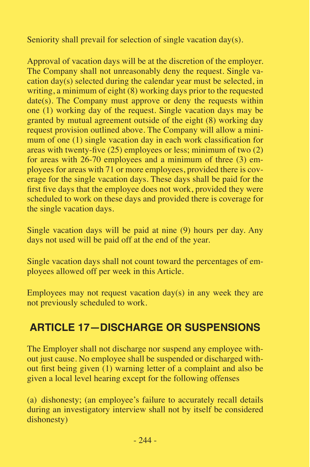Seniority shall prevail for selection of single vacation day(s).

Approval of vacation days will be at the discretion of the employer. The Company shall not unreasonably deny the request. Single vacation day(s) selected during the calendar year must be selected, in writing, a minimum of eight  $(8)$  working days prior to the requested date(s). The Company must approve or deny the requests within one (1) working day of the request. Single vacation days may be granted by mutual agreement outside of the eight (8) working day request provision outlined above. The Company will allow a minimum of one (1) single vacation day in each work classification for areas with twenty-five (25) employees or less; minimum of two (2) for areas with 26-70 employees and a minimum of three (3) employees for areas with 71 or more employees, provided there is coverage for the single vacation days. These days shall be paid for the first five days that the employee does not work, provided they were scheduled to work on these days and provided there is coverage for the single vacation days.

Single vacation days will be paid at nine (9) hours per day. Any days not used will be paid off at the end of the year.

Single vacation days shall not count toward the percentages of employees allowed off per week in this Article.

Employees may not request vacation  $day(s)$  in any week they are not previously scheduled to work.

# **ARTICLE 17—DISCHARGE OR SUSPENSIONS**

The Employer shall not discharge nor suspend any employee without just cause. No employee shall be suspended or discharged without first being given (1) warning letter of a complaint and also be given a local level hearing except for the following offenses

(a) dishonesty; (an employee's failure to accurately recall details during an investigatory interview shall not by itself be considered dishonesty)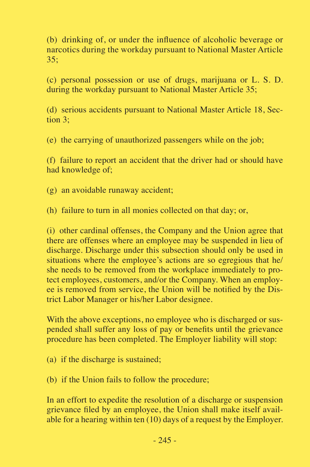(b) drinking of, or under the influence of alcoholic beverage or narcotics during the workday pursuant to National Master Article 35;

(c) personal possession or use of drugs, marijuana or L. S. D. during the workday pursuant to National Master Article 35;

(d) serious accidents pursuant to National Master Article 18, Section  $3$ <sup>.</sup>

(e) the carrying of unauthorized passengers while on the job;

(f) failure to report an accident that the driver had or should have had knowledge of;

(g) an avoidable runaway accident;

(h) failure to turn in all monies collected on that day; or,

(i) other cardinal offenses, the Company and the Union agree that there are offenses where an employee may be suspended in lieu of discharge. Discharge under this subsection should only be used in situations where the employee's actions are so egregious that he/ she needs to be removed from the workplace immediately to protect employees, customers, and/or the Company. When an employee is removed from service, the Union will be notified by the District Labor Manager or his/her Labor designee.

With the above exceptions, no employee who is discharged or suspended shall suffer any loss of pay or benefits until the grievance procedure has been completed. The Employer liability will stop:

- (a) if the discharge is sustained;
- (b) if the Union fails to follow the procedure;

In an effort to expedite the resolution of a discharge or suspension grievance filed by an employee, the Union shall make itself available for a hearing within ten (10) days of a request by the Employer.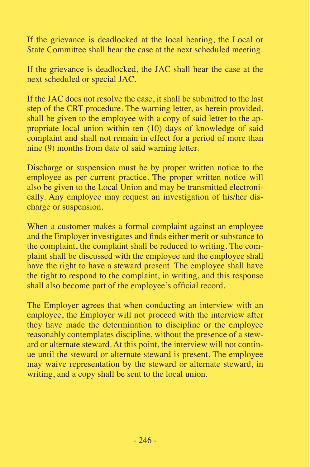If the grievance is deadlocked at the local hearing, the Local or State Committee shall hear the case at the next scheduled meeting.

If the grievance is deadlocked, the JAC shall hear the case at the next scheduled or special JAC.

If the JAC does not resolve the case, it shall be submitted to the last step of the CRT procedure. The warning letter, as herein provided, shall be given to the employee with a copy of said letter to the appropriate local union within ten (10) days of knowledge of said complaint and shall not remain in effect for a period of more than nine (9) months from date of said warning letter.

Discharge or suspension must be by proper written notice to the employee as per current practice. The proper written notice will also be given to the Local Union and may be transmitted electronically. Any employee may request an investigation of his/her discharge or suspension.

When a customer makes a formal complaint against an employee and the Employer investigates and finds either merit or substance to the complaint, the complaint shall be reduced to writing. The complaint shall be discussed with the employee and the employee shall have the right to have a steward present. The employee shall have the right to respond to the complaint, in writing, and this response shall also become part of the employee's official record.

The Employer agrees that when conducting an interview with an employee, the Employer will not proceed with the interview after they have made the determination to discipline or the employee reasonably contemplates discipline, without the presence of a steward or alternate steward. At this point, the interview will not continue until the steward or alternate steward is present. The employee may waive representation by the steward or alternate steward, in writing, and a copy shall be sent to the local union.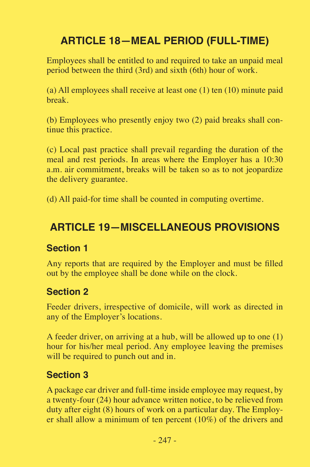# **ARTICLE 18—MEAL PERIOD (FULL-TIME)**

Employees shall be entitled to and required to take an unpaid meal period between the third (3rd) and sixth (6th) hour of work.

(a) All employees shall receive at least one (1) ten (10) minute paid break.

(b) Employees who presently enjoy two (2) paid breaks shall continue this practice.

(c) Local past practice shall prevail regarding the duration of the meal and rest periods. In areas where the Employer has a 10:30 a.m. air commitment, breaks will be taken so as to not jeopardize the delivery guarantee.

(d) All paid-for time shall be counted in computing overtime.

# **ARTICLE 19—MISCELLANEOUS PROVISIONS**

#### **Section 1**

Any reports that are required by the Employer and must be filled out by the employee shall be done while on the clock.

#### **Section 2**

Feeder drivers, irrespective of domicile, will work as directed in any of the Employer's locations.

A feeder driver, on arriving at a hub, will be allowed up to one (1) hour for his/her meal period. Any employee leaving the premises will be required to punch out and in.

#### **Section 3**

A package car driver and full-time inside employee may request, by a twenty-four (24) hour advance written notice, to be relieved from duty after eight (8) hours of work on a particular day. The Employer shall allow a minimum of ten percent (10%) of the drivers and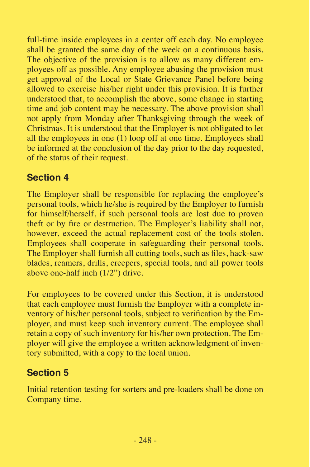full-time inside employees in a center off each day. No employee shall be granted the same day of the week on a continuous basis. The objective of the provision is to allow as many different employees off as possible. Any employee abusing the provision must get approval of the Local or State Grievance Panel before being allowed to exercise his/her right under this provision. It is further understood that, to accomplish the above, some change in starting time and job content may be necessary. The above provision shall not apply from Monday after Thanksgiving through the week of Christmas. It is understood that the Employer is not obligated to let all the employees in one (1) loop off at one time. Employees shall be informed at the conclusion of the day prior to the day requested, of the status of their request.

## **Section 4**

The Employer shall be responsible for replacing the employee's personal tools, which he/she is required by the Employer to furnish for himself/herself, if such personal tools are lost due to proven theft or by fire or destruction. The Employer's liability shall not, however, exceed the actual replacement cost of the tools stolen. Employees shall cooperate in safeguarding their personal tools. The Employer shall furnish all cutting tools, such as files, hack-saw blades, reamers, drills, creepers, special tools, and all power tools above one-half inch (1/2") drive.

For employees to be covered under this Section, it is understood that each employee must furnish the Employer with a complete inventory of his/her personal tools, subject to verification by the Employer, and must keep such inventory current. The employee shall retain a copy of such inventory for his/her own protection. The Employer will give the employee a written acknowledgment of inventory submitted, with a copy to the local union.

# **Section 5**

Initial retention testing for sorters and pre-loaders shall be done on Company time.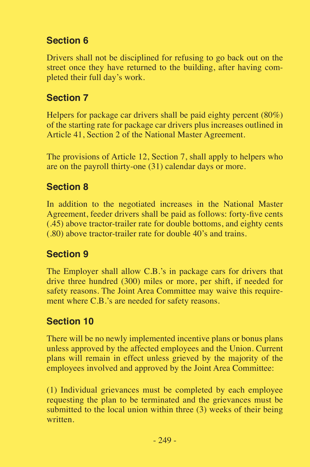# **Section 6**

Drivers shall not be disciplined for refusing to go back out on the street once they have returned to the building, after having completed their full day's work.

#### **Section 7**

Helpers for package car drivers shall be paid eighty percent (80%) of the starting rate for package car drivers plus increases outlined in Article 41, Section 2 of the National Master Agreement.

The provisions of Article 12, Section 7, shall apply to helpers who are on the payroll thirty-one (31) calendar days or more.

## **Section 8**

In addition to the negotiated increases in the National Master Agreement, feeder drivers shall be paid as follows: forty-five cents (.45) above tractor-trailer rate for double bottoms, and eighty cents (.80) above tractor-trailer rate for double 40's and trains.

## **Section 9**

The Employer shall allow C.B.'s in package cars for drivers that drive three hundred (300) miles or more, per shift, if needed for safety reasons. The Joint Area Committee may waive this requirement where C.B.'s are needed for safety reasons.

## **Section 10**

There will be no newly implemented incentive plans or bonus plans unless approved by the affected employees and the Union. Current plans will remain in effect unless grieved by the majority of the employees involved and approved by the Joint Area Committee:

(1) Individual grievances must be completed by each employee requesting the plan to be terminated and the grievances must be submitted to the local union within three (3) weeks of their being written.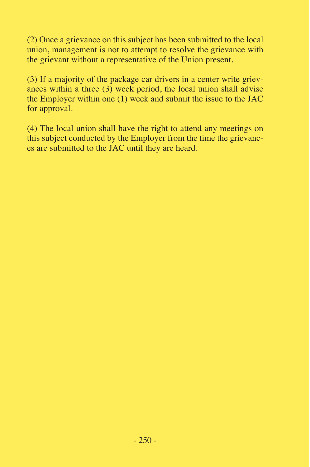(2) Once a grievance on this subject has been submitted to the local union, management is not to attempt to resolve the grievance with the grievant without a representative of the Union present.

(3) If a majority of the package car drivers in a center write grievances within a three  $(3)$  week period, the local union shall advise the Employer within one (1) week and submit the issue to the JAC for approval.

(4) The local union shall have the right to attend any meetings on this subject conducted by the Employer from the time the grievances are submitted to the JAC until they are heard.